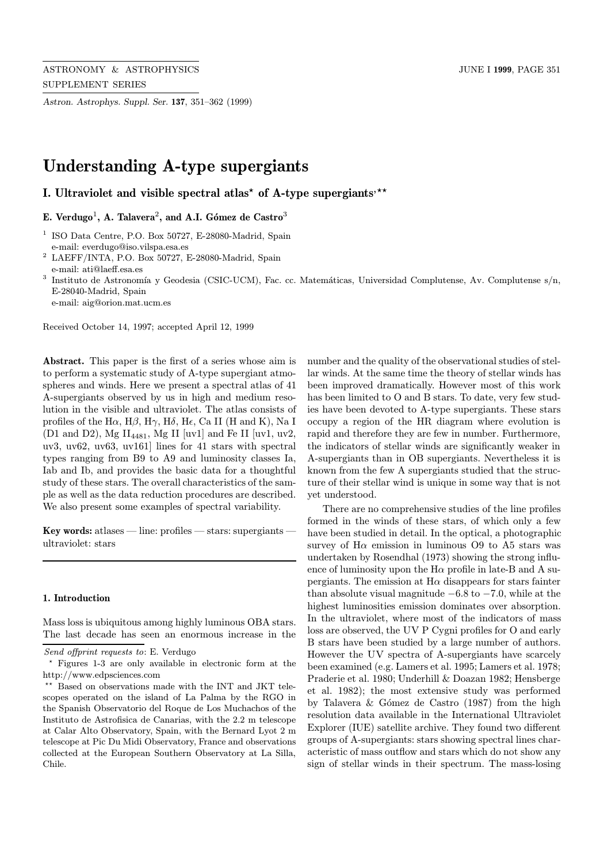Astron. Astrophys. Suppl. Ser. 137, 351–362 (1999)

# Understanding A-type supergiants

I. Ultraviolet and visible spectral atlas<sup>\*</sup> of A-type supergiants<sup>\*\*</sup>

E. Verdugo<sup>1</sup>, A. Talavera<sup>2</sup>, and A.I. Gómez de Castro<sup>3</sup>

- <sup>1</sup> ISO Data Centre, P.O. Box 50727, E-28080-Madrid, Spain e-mail: everdugo@iso.vilspa.esa.es
- $^2$  LAEFF/INTA, P.O. Box 50727, E-28080-Madrid, Spain e-mail: ati@laeff.esa.es

 $^3$  Instituto de Astronomía y Geodesia (CSIC-UCM), Fac. cc. Matemáticas, Universidad Complutense, Av. Complutense s/n, E-28040-Madrid, Spain

e-mail: aig@orion.mat.ucm.es

Received October 14, 1997; accepted April 12, 1999

Abstract. This paper is the first of a series whose aim is to perform a systematic study of A-type supergiant atmospheres and winds. Here we present a spectral atlas of 41 A-supergiants observed by us in high and medium resolution in the visible and ultraviolet. The atlas consists of profiles of the H $\alpha$ , H $\beta$ , H $\gamma$ , H $\delta$ , H $\epsilon$ , Ca II (H and K), Na I (D1 and D2), Mg II<sub>4481</sub>, Mg II [uv1] and Fe II [uv1, uv2, uv3, uv62, uv63, uv161] lines for 41 stars with spectral types ranging from B9 to A9 and luminosity classes Ia, Iab and Ib, and provides the basic data for a thoughtful study of these stars. The overall characteristics of the sample as well as the data reduction procedures are described. We also present some examples of spectral variability.

Key words: atlases — line: profiles — stars: supergiants ultraviolet: stars

#### 1. Introduction

Mass loss is ubiquitous among highly luminous OBA stars. The last decade has seen an enormous increase in the

number and the quality of the observational studies of stellar winds. At the same time the theory of stellar winds has been improved dramatically. However most of this work has been limited to O and B stars. To date, very few studies have been devoted to A-type supergiants. These stars occupy a region of the HR diagram where evolution is rapid and therefore they are few in number. Furthermore, the indicators of stellar winds are significantly weaker in A-supergiants than in OB supergiants. Nevertheless it is known from the few A supergiants studied that the structure of their stellar wind is unique in some way that is not yet understood.

There are no comprehensive studies of the line profiles formed in the winds of these stars, of which only a few have been studied in detail. In the optical, a photographic survey of  $H\alpha$  emission in luminous O9 to A5 stars was undertaken by Rosendhal (1973) showing the strong influence of luminosity upon the  $H\alpha$  profile in late-B and A supergiants. The emission at  $H\alpha$  disappears for stars fainter than absolute visual magnitude  $-6.8$  to  $-7.0$ , while at the highest luminosities emission dominates over absorption. In the ultraviolet, where most of the indicators of mass loss are observed, the UV P Cygni profiles for O and early B stars have been studied by a large number of authors. However the UV spectra of A-supergiants have scarcely been examined (e.g. Lamers et al. 1995; Lamers et al. 1978; Praderie et al. 1980; Underhill & Doazan 1982; Hensberge et al. 1982); the most extensive study was performed by Talavera  $& Gómez$  de Castro (1987) from the high resolution data available in the International Ultraviolet Explorer (IUE) satellite archive. They found two different groups of A-supergiants: stars showing spectral lines characteristic of mass outflow and stars which do not show any sign of stellar winds in their spectrum. The mass-losing

Send offprint requests to: E. Verdugo

<sup>?</sup> Figures 1-3 are only available in electronic form at the http://www.edpsciences.com

<sup>\*\*</sup> Based on observations made with the INT and JKT telescopes operated on the island of La Palma by the RGO in the Spanish Observatorio del Roque de Los Muchachos of the Instituto de Astrofisica de Canarias, with the 2.2 m telescope at Calar Alto Observatory, Spain, with the Bernard Lyot 2 m telescope at Pic Du Midi Observatory, France and observations collected at the European Southern Observatory at La Silla, Chile.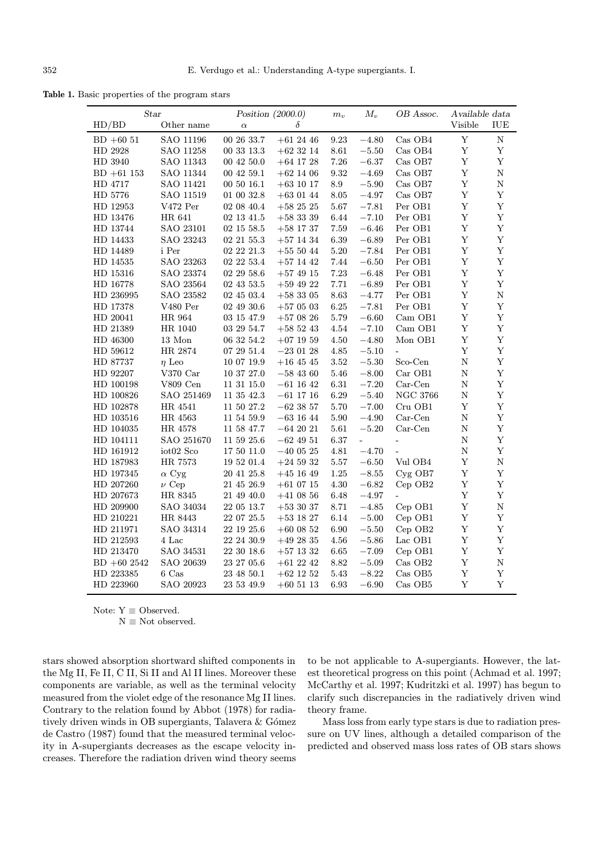Table 1. Basic properties of the program stars

| <b>Star</b>   |                                           | Position $(2000.0)$ |               | $m_v$    | $M_{v}$<br>OB Assoc.     |                       | Available data |             |
|---------------|-------------------------------------------|---------------------|---------------|----------|--------------------------|-----------------------|----------------|-------------|
| HD/BD         | Other name                                | $\alpha$            | δ             |          |                          |                       | Visible        | IUE         |
| $BD + 6051$   | SAO 11196                                 | 00 26 33.7          | $+61$ 24 46   | 9.23     | $-4.80$                  | Cas OB4               | $\mathbf Y$    | $\mathbf N$ |
| HD 2928       | SAO 11258                                 | 00 33 13.3          | $+62$ 32 14   | 8.61     | $-5.50$                  | Cas OB4               | $\mathbf Y$    | $\mathbf Y$ |
| HD 3940       | SAO 11343                                 | 00 42 50.0          | $+64$ 17 28   | 7.26     | $-6.37$                  | $\rm Cas$ $\rm OB7$   | $\mathbf Y$    | $\mathbf Y$ |
| $BD +61153$   | SAO 11344                                 | 00 $42\,$ 59.1 $\,$ | $+62$ 14 06   | 9.32     | $-4.69$                  | $Cas$ OB7             | $\mathbf Y$    | ${\rm N}$   |
| HD 4717       | SAO 11421                                 | 00 50 16.1          | $+63$ 10 17   | 8.9      | $-5.90$                  | Cas OB7               | $\mathbf Y$    | ${\bf N}$   |
| HD 5776       | SAO 11519                                 | 01 00 32.8          | $+63$ 01 44   | $8.05\,$ | $-4.97\,$                | Cas OB7               | $\mathbf Y$    | $\mathbf Y$ |
| HD 12953      | V472 Per                                  | 02 08 40.4          | $+582525$     | $5.67\,$ | $-7.81$                  | Per OB1               | $\mathbf Y$    | $\mathbf Y$ |
| HD 13476      | HR 641                                    | 02 13 41.5          | $+583339$     | 6.44     | $-7.10$                  | Per OB1               | $\mathbf Y$    | $\mathbf Y$ |
| HD 13744      | SAO 23101                                 | 02 15 58.5          | $+58$ 17 37   | 7.59     | $-6.46$                  | Per OB1               | $\mathbf Y$    | $\mathbf Y$ |
| HD 14433      | SAO 23243                                 | 02 21 55.3 $\,$     | $+57$ 14 34   | 6.39     | $-6.89$                  | Per OB1               | $\mathbf Y$    | $\mathbf Y$ |
| HD 14489      | i Per                                     | 02 22 21.3          | $+555044$     | $5.20\,$ | $-7.84$                  | Per OB1               | $\mathbf Y$    | $\mathbf Y$ |
| HD 14535      | SAO 23263                                 | 02 22 53.4          | $+57$ 14 42   | 7.44     | $-6.50$                  | Per OB1               | $\mathbf Y$    | $\mathbf Y$ |
| HD 15316      | SAO 23374                                 | 02 29 58.6          | $+57$ 49 15   | 7.23     | $-6.48$                  | Per OB1               | $\mathbf Y$    | $\mathbf Y$ |
| HD 16778      | SAO 23564                                 | 02 43 53.5          | $+59$ 49 22   | 7.71     | $-6.89$                  | Per OB1               | $\mathbf Y$    | $\mathbf Y$ |
| HD 236995     | SAO 23582                                 | 02 45 03.4          | $+58305$      | 8.63     | $-4.77$                  | Per OB1               | $\mathbf Y$    | $\mathbf N$ |
| HD 17378      | V480 Per                                  | 02 49 30.6          | $+570503$     | 6.25     | $-7.81$                  | Per OB1               | $\mathbf Y$    | $\mathbf Y$ |
| HD 20041      | HR 964                                    | $03\ 15\ 47.9$      | $+57$ 08 26   | 5.79     | $-6.60$                  | $Cam$ $OB1$           | $\mathbf Y$    | $\mathbf Y$ |
| HD 21389      | HR 1040                                   | 03 29 54.7          | $+585243$     | 4.54     | $-7.10$                  | Cam OB1               | $\mathbf Y$    | $\mathbf Y$ |
| HD 46300      | 13 Mon                                    | 06 32 54.2          | $+07$ 19 59   | $4.50\,$ | $-4.80$                  | Mon OB1               | $\mathbf Y$    | $\mathbf Y$ |
| HD 59612      | HR 2874                                   | 07 29 51.4          | $-230128$     | 4.85     | $-5.10$                  | $\overline{a}$        | $\mathbf Y$    | $\mathbf Y$ |
| HD 87737      | $\eta$ Leo                                | 10 07 19.9          | $+16$ 45 45   | 3.52     | $-5.30$                  | Sco-Cen               | $\mathbf N$    | $\mathbf Y$ |
| HD 92207      | V370 Car                                  | $10\ 37\ 27.0$      | $-584360$     | 5.46     | $-8.00$                  | Car OB1               | $\mathbf N$    | $\mathbf Y$ |
| HD 100198     | V809 Cen                                  | 11 31 15.0          | $-61$ 16 42   | $6.31\,$ | $-7.20$                  | $Car-Cen$             | ${\rm N}$      | $\mathbf Y$ |
| HD 100826     | SAO 251469                                | 11 35 42.3          | $-61$ 17 16   | 6.29     | $-5.40$                  | <b>NGC 3766</b>       | ${\rm N}$      | $\mathbf Y$ |
| HD 102878     | HR 4541                                   | 11 50 27.2          | $-62$ 38 57   | 5.70     | $-7.00$                  | Cru OB1               | $\mathbf Y$    | $\mathbf Y$ |
| HD 103516     | HR 4563                                   | 11 54 59.9          | $-63\ 16\ 44$ | 5.90     | $-4.90$                  | $Car-Cen$             | $\mathbf N$    | $\mathbf Y$ |
| HD 104035     | HR 4578                                   | 11 58 47.7          | $-642021$     | 5.61     | $-5.20$                  | $Car-Cen$             | $\mathbf N$    | $\mathbf Y$ |
| HD 104111     | SAO 251670                                | $11\ 59\ 25.6$      | $-62$ 49 51   | 6.37     | $\overline{\phantom{0}}$ | ÷,                    | ${\rm N}$      | $\mathbf Y$ |
| HD 161912     | $\mathrm{i} \mathrm{o} \mathrm{t} 02$ Sco | $17\ 50\ 11.0$      | $-400525$     | $4.81\,$ | $-4.70$                  | $\equiv$              | ${\rm N}$      | $\mathbf Y$ |
| HD 187983     | HR 7573                                   | 19 52 01.4          | $+24$ 59 32   | $5.57\,$ | $-6.50$                  | $\rm{Vul}$ OB4        | $\mathbf Y$    | ${\bf N}$   |
| HD 197345     | $\alpha$ Cyg                              | $20\ 41\ 25.8$      | $+45$ 16 49   | $1.25\,$ | $-8.55$                  | Cyg OB7               | $\mathbf Y$    | $\mathbf Y$ |
| HD 207260     | $\nu$ Cep                                 | 21 45 26.9          | $+610715$     | 4.30     | $-6.82$                  | $Cep$ OB <sub>2</sub> | $\mathbf Y$    | $\mathbf Y$ |
| HD 207673     | HR 8345                                   | 21 49 40.0          | $+41$ 08 56   | 6.48     | $-4.97$                  | ÷.                    | $\mathbf Y$    | $\mathbf Y$ |
| HD 209900     | SAO 34034                                 | 22 05 13.7          | $+53$ 30 37   | 8.71     | $-4.85$                  | Cep OB1               | $\mathbf Y$    | $\mathbf N$ |
| HD 210221     | HR 8443                                   | 22 07 25.5          | $+53$ 18 27   | 6.14     | $-5.00$                  | $Cep$ OB1             | $\mathbf Y$    | $\mathbf Y$ |
| HD 211971     | SAO 34314                                 | 22 19 25.6          | $+60$ 08 52   | 6.90     | $-5.50$                  | $Cep$ OB2             | $\mathbf Y$    | $\mathbf Y$ |
| HD 212593     | 4 Lac                                     | 22 24 30.9          | $+492835$     | 4.56     | $-5.86$                  | Lac OB1               | $\mathbf Y$    | $\mathbf Y$ |
| HD 213470     | SAO 34531                                 | 22 30 18.6          | $+57$ 13 32   | 6.65     | $-7.09$                  | $Cep$ OB1             | $\mathbf Y$    | $\mathbf Y$ |
| $BD + 602542$ | SAO 20639                                 | 23 27 05.6          | $+61$ 22 42   | 8.82     | $-5.09$                  | Cas OB2               | $\mathbf Y$    | ${\bf N}$   |
| HD 223385     | $6\ {\rm Cas}$                            | $23\ 48\ 50.1$      | $+62$ 12 52   | $5.43\,$ | $-8.22$                  | Cas OB5               | $\mathbf Y$    | $\mathbf Y$ |
| HD 223960     | SAO 20923                                 | $23\ 53\ 49.9$      | $+60$ 51 13   | 6.93     | $-6.90$                  | Cas OB5               | $\mathbf Y$    | $\mathbf Y$ |

Note:  $Y \equiv$  Observed.

 $N \equiv$  Not observed.

stars showed absorption shortward shifted components in the Mg II, Fe II, C II, Si II and Al II lines. Moreover these components are variable, as well as the terminal velocity measured from the violet edge of the resonance Mg II lines. Contrary to the relation found by Abbot (1978) for radiatively driven winds in OB supergiants, Talavera  $\&$  Gómez de Castro (1987) found that the measured terminal velocity in A-supergiants decreases as the escape velocity increases. Therefore the radiation driven wind theory seems to be not applicable to A-supergiants. However, the latest theoretical progress on this point (Achmad et al. 1997; McCarthy et al. 1997; Kudritzki et al. 1997) has begun to clarify such discrepancies in the radiatively driven wind theory frame.

Mass loss from early type stars is due to radiation pressure on UV lines, although a detailed comparison of the predicted and observed mass loss rates of OB stars shows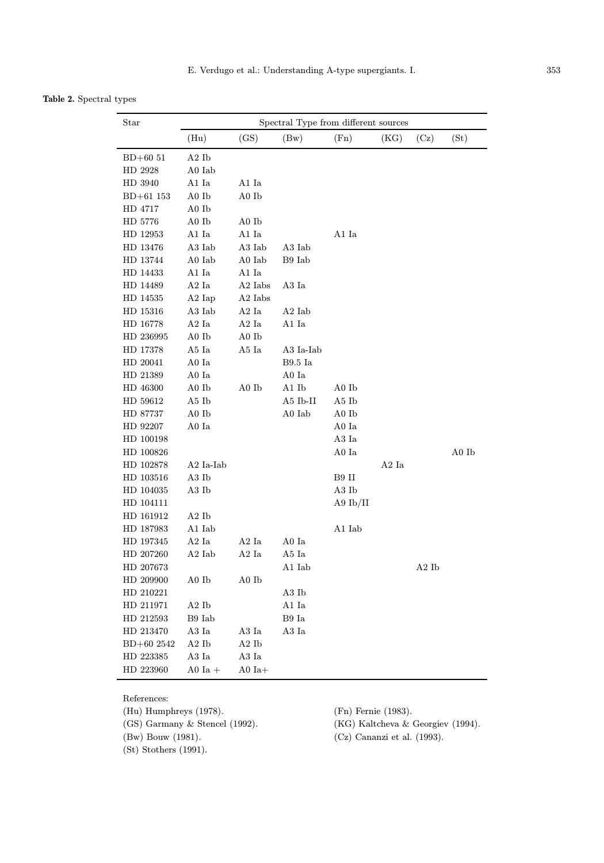Table 2. Spectral types

| Star        | Spectral Type from different sources |                     |              |            |                   |                   |       |
|-------------|--------------------------------------|---------------------|--------------|------------|-------------------|-------------------|-------|
|             | (Hu)                                 | (GS)                | (Bw)         | (Fn)       | (KG)              | (Cz)              | (St)  |
| $BD+6051$   | A2Ib                                 |                     |              |            |                   |                   |       |
| HD 2928     | A0 Iab                               |                     |              |            |                   |                   |       |
| HD 3940     | A1 Ia                                | A1 Ia               |              |            |                   |                   |       |
| $BD+61$ 153 | A0 Ib                                | A0 Ib               |              |            |                   |                   |       |
| HD 4717     | A0 Ib                                |                     |              |            |                   |                   |       |
| HD 5776     | A0 Ib                                | A0 Ib               |              |            |                   |                   |       |
| HD 12953    | A1 Ia                                | A1 Ia               |              | A1 Ia      |                   |                   |       |
| HD 13476    | A3 Iab                               | A3 Iab              | A3 Iab       |            |                   |                   |       |
| HD 13744    | A0 Iab                               | A0 Iab              | B9 Iab       |            |                   |                   |       |
| HD 14433    | $\rm A1~Ia$                          | A1 Ia               |              |            |                   |                   |       |
| HD 14489    | A2 Ia                                | A <sub>2</sub> Iabs | A3 Ia        |            |                   |                   |       |
| HD 14535    | $A2$ Iap                             | A <sub>2</sub> Iabs |              |            |                   |                   |       |
| HD 15316    | A3 Iab                               | A <sub>2</sub> Ia   | $A2$ Iab     |            |                   |                   |       |
| HD 16778    | A2 Ia                                | A2 Ia               | $\rm A1~Ia$  |            |                   |                   |       |
| HD 236995   | A0 Ib                                | A0 Ib               |              |            |                   |                   |       |
| HD 17378    | A5 Ia                                | A5 Ia               | A3 Ia-Iab    |            |                   |                   |       |
| HD 20041    | A0 Ia                                |                     | B9.5 Ia      |            |                   |                   |       |
| HD 21389    | A0 Ia                                |                     | A0 Ia        |            |                   |                   |       |
| HD 46300    | A0 Ib                                | A0 Ib               | A1 Ib        | A0 Ib      |                   |                   |       |
| HD 59612    | A5 Ib                                |                     | $A5$ Ib-II   | A5 Ib      |                   |                   |       |
| HD 87737    | A0 Ib                                |                     | A0 Iab       | A0 Ib      |                   |                   |       |
| HD 92207    | A0 Ia                                |                     |              | A0 Ia      |                   |                   |       |
| HD 100198   |                                      |                     |              | A3 Ia      |                   |                   |       |
| HD 100826   |                                      |                     |              | A0 Ia      |                   |                   | A0 Ib |
| HD 102878   | A2 Ia-Iab                            |                     |              |            | A <sub>2</sub> Ia |                   |       |
| HD 103516   | A3 Ib                                |                     |              | B9 II      |                   |                   |       |
| HD 104035   | A3 Ib                                |                     |              | A3 Ib      |                   |                   |       |
| HD 104111   |                                      |                     |              | A9 $Ib/II$ |                   |                   |       |
| HD 161912   | A2Ib                                 |                     |              |            |                   |                   |       |
| HD 187983   | A1 Iab                               |                     |              | A1 Iab     |                   |                   |       |
| HD 197345   | A <sub>2</sub> Ia                    | A <sub>2</sub> Ia   | A0 Ia        |            |                   |                   |       |
| HD 207260   | $A2$ Iab                             | A2 Ia               | A5 Ia        |            |                   |                   |       |
| HD 207673   |                                      |                     | A1 Iab       |            |                   | A <sub>2</sub> Ib |       |
| HD 209900   | $A0$ Ib                              | A0 Ib               |              |            |                   |                   |       |
| HD 210221   |                                      |                     | A3Ib         |            |                   |                   |       |
| HD 211971   | A2Ib                                 |                     | $\rm A1~Ia$  |            |                   |                   |       |
| HD 212593   | $\rm B9~Iab$                         |                     | $\rm{B9}$ Ia |            |                   |                   |       |
| HD 213470   | A3 Ia                                | A3 Ia               | $\rm A3~Ia$  |            |                   |                   |       |
| BD+60 2542  | A2Ib                                 | A2Ib                |              |            |                   |                   |       |
| HD 223385   | A3 Ia                                | $\rm A3~Ia$         |              |            |                   |                   |       |
| HD 223960   | A0 Ia $+$                            | A0 $Ia+$            |              |            |                   |                   |       |

References:

(Hu) Humphreys (1978). (Fn) Fernie (1983).

(St) Stothers (1991).

(GS) Garmany & Stencel (1992). (KG) Kaltcheva & Georgiev (1994).

(Bw) Bouw (1981). (Cz) Cananzi et al. (1993).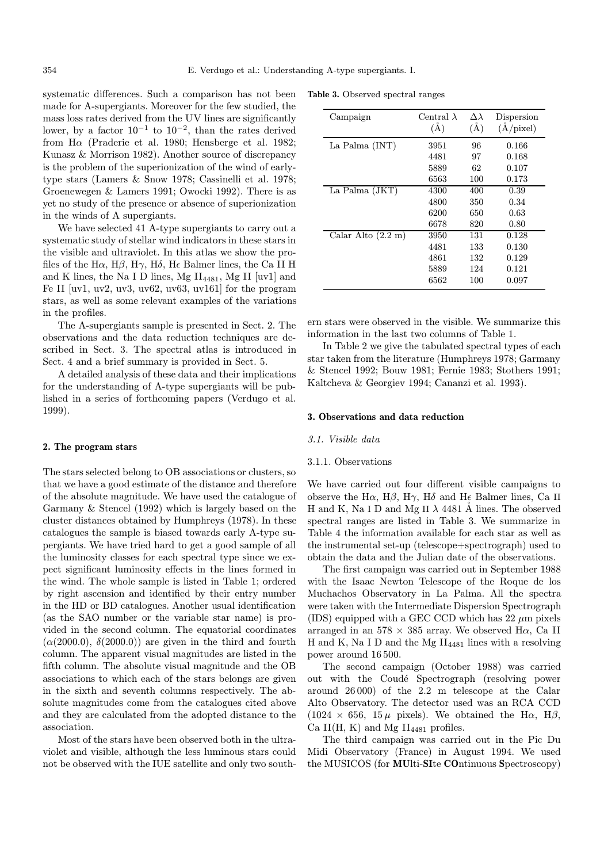systematic differences. Such a comparison has not been made for A-supergiants. Moreover for the few studied, the mass loss rates derived from the UV lines are significantly lower, by a factor  $10^{-1}$  to  $10^{-2}$ , than the rates derived from H $\alpha$  (Praderie et al. 1980; Hensberge et al. 1982; Kunasz & Morrison 1982). Another source of discrepancy is the problem of the superionization of the wind of earlytype stars (Lamers & Snow 1978; Cassinelli et al. 1978; Groenewegen & Lamers 1991; Owocki 1992). There is as yet no study of the presence or absence of superionization in the winds of A supergiants.

We have selected 41 A-type supergiants to carry out a systematic study of stellar wind indicators in these stars in the visible and ultraviolet. In this atlas we show the profiles of the H $\alpha$ , H $\beta$ , H $\gamma$ , H $\delta$ , H $\epsilon$  Balmer lines, the Ca II H and K lines, the Na I D lines, Mg  $II_{4481}$ , Mg II [uv1] and Fe II  $\lbrack \text{uv1}, \text{uv2}, \text{uv3}, \text{uv62}, \text{uv63}, \text{uv161} \rbrack$  for the program stars, as well as some relevant examples of the variations in the profiles.

The A-supergiants sample is presented in Sect. 2. The observations and the data reduction techniques are described in Sect. 3. The spectral atlas is introduced in Sect. 4 and a brief summary is provided in Sect. 5.

A detailed analysis of these data and their implications for the understanding of A-type supergiants will be published in a series of forthcoming papers (Verdugo et al. 1999).

#### 2. The program stars

The stars selected belong to OB associations or clusters, so that we have a good estimate of the distance and therefore of the absolute magnitude. We have used the catalogue of Garmany & Stencel (1992) which is largely based on the cluster distances obtained by Humphreys (1978). In these catalogues the sample is biased towards early A-type supergiants. We have tried hard to get a good sample of all the luminosity classes for each spectral type since we expect significant luminosity effects in the lines formed in the wind. The whole sample is listed in Table 1; ordered by right ascension and identified by their entry number in the HD or BD catalogues. Another usual identification (as the SAO number or the variable star name) is provided in the second column. The equatorial coordinates  $(\alpha(2000.0), \delta(2000.0))$  are given in the third and fourth column. The apparent visual magnitudes are listed in the fifth column. The absolute visual magnitude and the OB associations to which each of the stars belongs are given in the sixth and seventh columns respectively. The absolute magnitudes come from the catalogues cited above and they are calculated from the adopted distance to the association.

Most of the stars have been observed both in the ultraviolet and visible, although the less luminous stars could not be observed with the IUE satellite and only two south-

Table 3. Observed spectral ranges

| Campaign                     | Central $\lambda$<br>$(\tilde{A})$ | $\Delta \lambda$<br>$(\AA)$ | Dispersion<br>(A/pixel) |
|------------------------------|------------------------------------|-----------------------------|-------------------------|
| La Palma (INT)               | 3951                               | 96                          | 0.166                   |
|                              | 4481                               | 97                          | 0.168                   |
|                              | 5889                               | 62                          | 0.107                   |
|                              | 6563                               | 100                         | 0.173                   |
| La Palma (JKT)               | 4300                               | 400                         | 0.39                    |
|                              | 4800                               | 350                         | 0.34                    |
|                              | 6200                               | 650                         | 0.63                    |
|                              | 6678                               | 820                         | 0.80                    |
| Calar Alto $(2.2 \text{ m})$ | 3950                               | 131                         | 0.128                   |
|                              | 4481                               | 133                         | 0.130                   |
|                              | 4861                               | 132                         | 0.129                   |
|                              | 5889                               | 124                         | 0.121                   |
|                              | 6562                               | 100                         | 0.097                   |

ern stars were observed in the visible. We summarize this information in the last two columns of Table 1.

In Table 2 we give the tabulated spectral types of each star taken from the literature (Humphreys 1978; Garmany & Stencel 1992; Bouw 1981; Fernie 1983; Stothers 1991; Kaltcheva & Georgiev 1994; Cananzi et al. 1993).

## 3. Observations and data reduction

## 3.1. Visible data

### 3.1.1. Observations

We have carried out four different visible campaigns to observe the H $\alpha$ , H $\beta$ , H $\gamma$ , H $\delta$  and H $\epsilon$  Balmer lines, Ca II H and K, Na I D and Mg II  $\lambda$  4481 Å lines. The observed spectral ranges are listed in Table 3. We summarize in Table 4 the information available for each star as well as the instrumental set-up (telescope+spectrograph) used to obtain the data and the Julian date of the observations.

The first campaign was carried out in September 1988 with the Isaac Newton Telescope of the Roque de los Muchachos Observatory in La Palma. All the spectra were taken with the Intermediate Dispersion Spectrograph (IDS) equipped with a GEC CCD which has  $22 \mu m$  pixels arranged in an  $578 \times 385$  array. We observed H $\alpha$ , Ca II H and K, Na I D and the Mg  $II_{4481}$  lines with a resolving power around 16 500.

The second campaign (October 1988) was carried out with the Coudé Spectrograph (resolving power around 26 000) of the 2.2 m telescope at the Calar Alto Observatory. The detector used was an RCA CCD  $(1024 \times 656, 15 \mu \text{ pixels})$ . We obtained the H $\alpha$ , H $\beta$ , Ca II(H, K) and Mg  $II_{4481}$  profiles.

The third campaign was carried out in the Pic Du Midi Observatory (France) in August 1994. We used the MUSICOS (for MUlti-SIte COntinuous Spectroscopy)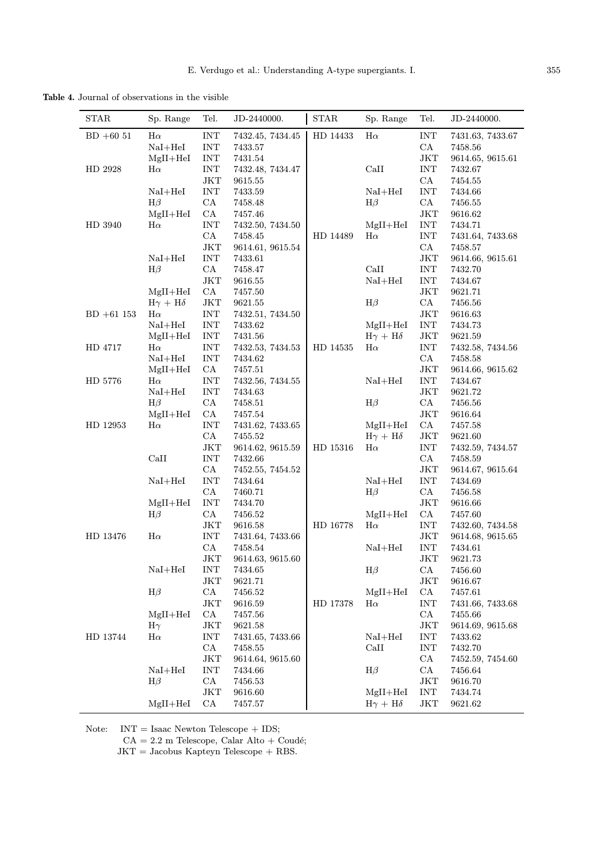Table 4. Journal of observations in the visible

| $\operatorname{STAR}$ | Sp. Range           | Tel.                      | JD-2440000.                 | <b>STAR</b> | Sp. Range           | Tel.                             | JD-2440000.        |
|-----------------------|---------------------|---------------------------|-----------------------------|-------------|---------------------|----------------------------------|--------------------|
| $BD + 6051$           | $H\alpha$           | <b>INT</b>                | 7432.45, 7434.45            | HD 14433    | $H\alpha$           | INT                              | 7431.63, 7433.67   |
|                       | $NaI + HeI$         | <b>INT</b>                | 7433.57                     |             |                     | CA                               | 7458.56            |
|                       | $MgII+HeI$          | <b>INT</b>                | 7431.54                     |             |                     | JKT                              | 9614.65, 9615.61   |
| HD 2928               | $H\alpha$           | $\ensuremath{\text{INT}}$ | 7432.48, 7434.47            |             | CaII                | <b>INT</b>                       | 7432.67            |
|                       |                     | $\rm JKT$                 | 9615.55                     |             |                     | CA                               | 7454.55            |
|                       | $NaI + HeI$         | $\ensuremath{\text{INT}}$ | 7433.59                     |             | $NaI + HeI$         | $\ensuremath{\text{INT}}$        | 7434.66            |
|                       | $H\beta$            | CA                        | 7458.48                     |             | $H\beta$            | CA                               | 7456.55            |
|                       | $MgII+HeI$          | ${\rm CA}$                | 7457.46                     |             |                     | $_{\rm JKT}$                     | 9616.62            |
| HD 3940               | $H\alpha$           | $\ensuremath{\text{INT}}$ | 7432.50, 7434.50            |             | $MgII+HeI$          | INT                              | 7434.71            |
|                       |                     | CA                        | 7458.45                     | HD 14489    | $H\alpha$           | INT                              | 7431.64, 7433.68   |
|                       |                     | $\rm JKT$                 | 9614.61, 9615.54            |             |                     | CA                               | 7458.57            |
|                       | $NaI+HeI$           | $\ensuremath{\text{INT}}$ | 7433.61                     |             |                     | $_{\rm JKT}$                     | 9614.66, 9615.61   |
|                       | $H\beta$            | CA                        | 7458.47                     |             | CaII                | $\ensuremath{\text{INT}}$        | 7432.70            |
|                       |                     | JKT                       | 9616.55                     |             | $NaI + HeI$         | INT                              | 7434.67            |
|                       | $MgII+HeI$          | CA                        | 7457.50                     |             |                     | $_{\rm JKT}$                     | 9621.71            |
|                       | $H\gamma + H\delta$ | $_{\rm JKT}$              | 9621.55                     |             | $H\beta$            | CA                               | 7456.56            |
| $BD +61$ 153          | $H\alpha$           | $\ensuremath{\text{INT}}$ | 7432.51, 7434.50            |             |                     | $_{\rm JKT}$                     | 9616.63            |
|                       | $NaI + HeI$         | $\ensuremath{\text{INT}}$ | 7433.62                     |             | $MgII+HeI$          | INT                              | 7434.73            |
|                       | $MgII+HeI$          | <b>INT</b>                | 7431.56                     |             | $H\gamma + H\delta$ | JKT                              | 9621.59            |
| HD 4717               | $H\alpha$           | <b>INT</b>                | 7432.53, 7434.53            | HD 14535    | $H\alpha$           | <b>INT</b>                       | 7432.58, 7434.56   |
|                       | $NaI + HeI$         | $\ensuremath{\text{INT}}$ | 7434.62                     |             |                     | CA                               | 7458.58            |
|                       | $MgII+HeI$          | CA                        | 7457.51                     |             |                     | $_{\rm JKT}$                     | 9614.66, 9615.62   |
| HD 5776               | $H\alpha$           | <b>INT</b>                | 7432.56, 7434.55            |             | $NaI+HeI$           | <b>INT</b>                       | 7434.67            |
|                       | $NaI+HeI$           | <b>INT</b>                | 7434.63                     |             |                     | $_{\rm JKT}$                     | 9621.72            |
|                       | $H\beta$            | CA                        | 7458.51                     |             | $H\beta$            | CA                               | 7456.56            |
|                       | $MgII+HeI$          | CA                        | 7457.54                     |             |                     | $_{\rm JKT}$                     | 9616.64            |
| HD 12953              | $H\alpha$           | $\ensuremath{\text{INT}}$ | 7431.62, 7433.65            |             | $MgII+HeI$          | CA                               | 7457.58            |
|                       |                     | CA                        | 7455.52                     |             | $H\gamma + H\delta$ | $_{\rm JKT}$                     | 9621.60            |
|                       |                     | $\rm JKT$                 | 9614.62, 9615.59            | HD 15316    | $H\alpha$           | $\ensuremath{\text{INT}}$        | 7432.59, 7434.57   |
|                       | CaII                | <b>INT</b>                | 7432.66                     |             |                     | CA                               | 7458.59            |
|                       |                     | CA                        | 7452.55, 7454.52            |             |                     | JKT                              | 9614.67, 9615.64   |
|                       | $NaI + HeI$         | <b>INT</b>                | 7434.64                     |             | $NaI + HeI$         | <b>INT</b>                       | 7434.69            |
|                       |                     | CA                        | 7460.71                     |             | $H\beta$            | CA                               | 7456.58            |
|                       | $MgII+HeI$          | <b>INT</b>                | 7434.70                     |             |                     | $_{\rm JKT}$                     | 9616.66            |
|                       | $H\beta$            | CA                        | 7456.52                     |             | $MgII+HeI$          | CA<br>$\ensuremath{\text{INT}}$  | 7457.60            |
|                       |                     | JKT                       | 9616.58                     | HD 16778    | $H\alpha$           |                                  | 7432.60, 7434.58   |
| HD 13476              | $H\alpha$           | <b>INT</b><br>CA          | 7431.64, 7433.66<br>7458.54 |             |                     | JKT<br>$\ensuremath{\text{INT}}$ | 9614.68, 9615.65   |
|                       |                     | JKT                       |                             |             | $NaI + HeI$         | JKT                              | 7434.61            |
|                       | $NaI + HeI$         | <b>INT</b>                | 9614.63, 9615.60            |             | $H\beta$            | CA                               | 9621.73<br>7456.60 |
|                       |                     | JKT                       | 7434.65<br>9621.71          |             |                     | $_{\rm JKT}$                     |                    |
|                       | $H\beta$            | CA                        | 7456.52                     |             | $MgII+HeI$          | CA                               | 9616.67<br>7457.61 |
|                       |                     | JKT                       | 9616.59                     | HD 17378    | $H\alpha$           | $\ensuremath{\text{INT}}$        | 7431.66, 7433.68   |
|                       | $MgII+HeI$          | CA                        | 7457.56                     |             |                     | CA                               | 7455.66            |
|                       | $H\gamma$           | JKT                       | 9621.58                     |             |                     | JKT                              | 9614.69, 9615.68   |
| HD 13744              | $H\alpha$           | $\ensuremath{\text{INT}}$ | 7431.65, 7433.66            |             | $NaI + HeI$         | $\ensuremath{\text{INT}}$        | 7433.62            |
|                       |                     | CA                        | 7458.55                     |             | CaII                | $\ensuremath{\text{INT}}$        | 7432.70            |
|                       |                     | JKT                       | 9614.64, 9615.60            |             |                     | CA                               | 7452.59, 7454.60   |
|                       | $NaI + HeI$         | <b>INT</b>                | 7434.66                     |             | $H\beta$            | CA                               | 7456.64            |
|                       | $H\beta$            | CA                        | 7456.53                     |             |                     | JKT                              | 9616.70            |
|                       |                     | JKT                       | 9616.60                     |             | $MgII+HeI$          | $\ensuremath{\text{INT}}$        | 7434.74            |
|                       | $MgII+HeI$          | ${\rm CA}$                | 7457.57                     |             | $H\gamma + H\delta$ | $\rm JKT$                        | 9621.62            |
|                       |                     |                           |                             |             |                     |                                  |                    |

Note: INT = Isaac Newton Telescope + IDS;

 $CA = 2.2$  m Telescope, Calar Alto + Coudé;

 ${\rm JKT}$  = Jacobus Kapteyn Telescope  $+$  RBS.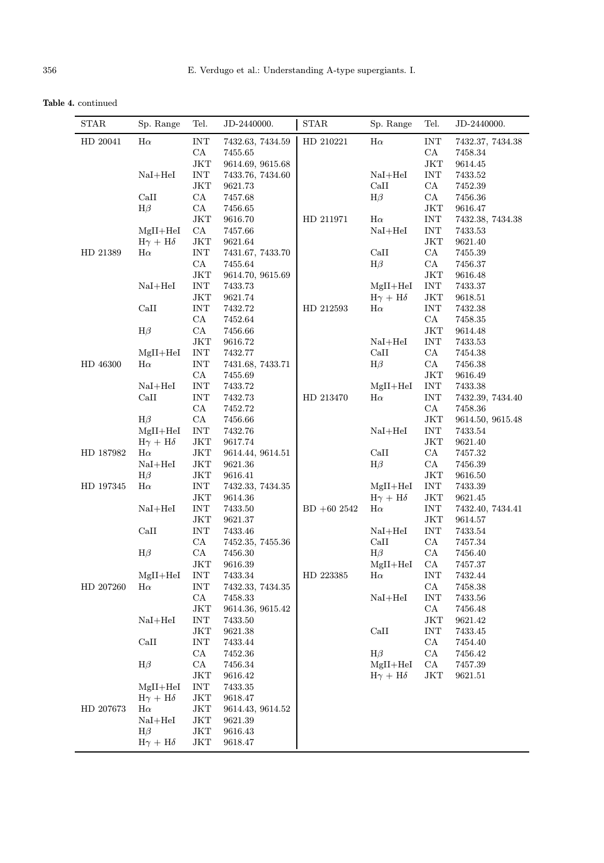Table 4. continued

| $\ensuremath{\text{INT}}$<br>$\ensuremath{\text{INT}}$<br>HD 20041<br>$\rm H\alpha$<br>HD 210221<br>$H\alpha$<br>7432.63, 7434.59<br>7432.37, 7434.38<br>CA<br>CA<br>7455.65<br>7458.34<br>$_{\rm JKT}$<br>$\rm JKT$<br>9614.69, 9615.68<br>9614.45<br>$\ensuremath{\text{INT}}$<br>$\ensuremath{\text{INT}}$<br>$NaI + HeI$<br>$NaI + HeI$<br>7433.76, 7434.60<br>7433.52<br>$_{\rm JKT}$<br>CA<br>CaII<br>9621.73<br>7452.39<br>CA<br>CaII<br>CA<br>$H\beta$<br>7457.68<br>7456.36<br>$H\beta$<br>CA<br>$\rm JKT$<br>7456.65<br>9616.47<br><b>JKT</b><br>9616.70<br>HD 211971<br>$H\alpha$<br>INT<br>7432.38, 7434.38<br>CA<br>7457.66<br>$NaI + HeI$<br>INT<br>7433.53<br>$MgII+HeI$<br>$_{\rm JKT}$<br>$\rm JKT$<br>$H\gamma + H\delta$<br>9621.64<br>9621.40<br>CaII<br>CA<br>HD 21389<br>$\ensuremath{\text{INT}}$<br>$H\alpha$<br>7431.67, 7433.70<br>7455.39<br>CA<br>CA<br>$H\beta$<br>7455.64<br>7456.37<br>$_{\rm JKT}$<br>$\rm JKT$<br>9614.70, 9615.69<br>9616.48<br>$\ensuremath{\text{INT}}$<br>$\ensuremath{\text{INT}}$<br>$NaI + HeI$<br>$MgII+HeI$<br>7433.73<br>7433.37<br>$_{\rm JKT}$<br>$_{\rm JKT}$<br>9621.74<br>$H\gamma + H\delta$<br>9618.51<br>$_{\rm{CaII}}$<br>$\ensuremath{\text{INT}}$<br>$\ensuremath{\text{INT}}$<br>HD 212593<br>$H\alpha$<br>7432.72<br>7432.38<br>CA<br>CA<br>7452.64<br>7458.35<br>$H\beta$<br>CA<br>$_{\rm JKT}$<br>7456.66<br>9614.48<br>$_{\rm JKT}$<br>$\ensuremath{\text{INT}}$<br>$NaI + HeI$<br>9616.72<br>7433.53<br>$\ensuremath{\text{INT}}$<br>CA<br>CaII<br>$MgII+HeI$<br>7432.77<br>7454.38<br>$\ensuremath{\text{INT}}$<br>$H\beta$<br>CA<br>HD 46300<br>$H\alpha$<br>7431.68, 7433.71<br>7456.38<br>CA<br>$\rm JKT$<br>7455.69<br>9616.49<br>$\ensuremath{\text{INT}}$<br>$\ensuremath{\text{INT}}$<br>$NaI + HeI$<br>7433.72<br>$MgII+HeI$<br>7433.38<br>CaII<br>$\ensuremath{\text{INT}}$<br>$\mathrm{H}\alpha$<br>$\ensuremath{\text{INT}}$<br>HD 213470<br>7432.73<br>7432.39, 7434.40<br>CA<br>CA<br>7458.36<br>7452.72<br>$H\beta$<br>CA<br>JKT<br>7456.66<br>9614.50, 9615.48<br>$NaI + HeI$<br>$\ensuremath{\text{INT}}$<br>$MgII+HeI$<br>$\ensuremath{\text{INT}}$<br>7432.76<br>7433.54<br>$\rm JKT$<br>$\rm JKT$<br>$H\gamma + H\delta$<br>9617.74<br>9621.40<br>CaII<br>CA<br>HD 187982<br>$_{\rm JKT}$<br>$H\alpha$<br>9614.44, 9614.51<br>7457.32<br>$_{\rm JKT}$<br>$H\beta$<br>CA<br>$NaI + HeI$<br>9621.36<br>7456.39<br>$_{\rm JKT}$<br>$H\beta$<br>JKT<br>9616.41<br>9616.50<br>$\ensuremath{\text{INT}}$<br>$\ensuremath{\text{INT}}$<br>HD 197345<br>$H\alpha$<br>7432.33, 7434.35<br>$MgII+HeI$<br>7433.39<br>$_{\rm JKT}$<br>$H\gamma + H\delta$<br>$_{\rm JKT}$<br>9614.36<br>9621.45<br>$\ensuremath{\text{INT}}$<br>$\ensuremath{\text{INT}}$<br>$NaI + HeI$<br>7433.50<br>$BD +602542$<br>$H\alpha$<br>7432.40, 7434.41<br>JKT<br>9621.37<br>$_{\rm JKT}$<br>9614.57<br>CaII<br>$\ensuremath{\text{INT}}$<br>$\ensuremath{\text{INT}}$<br>$NaI + HeI$<br>7433.46<br>7433.54<br>CA<br>CA<br>CaII<br>7452.35, 7455.36<br>7457.34<br>CA<br>CA<br>$H\beta$<br>$H\beta$<br>7456.30<br>7456.40<br>JKT<br>CA<br>9616.39<br>$MgII+HeI$<br>7457.37<br>$MgII+HeI$<br>$\mathrm{H}\alpha$<br><b>INT</b><br>7433.34<br>HD 223385<br><b>INT</b><br>7432.44<br>$\ensuremath{\text{INT}}$<br>CA<br>HD 207260<br>$H\alpha$<br>7458.38<br>7432.33, 7434.35<br>CA<br>$\ensuremath{\text{INT}}$<br>$NaI + HeI$<br>7458.33<br>7433.56<br>CA<br>JKT<br>9614.36, 9615.42<br>7456.48<br>$NaI + HeI$<br>$\ensuremath{\text{INT}}$<br>7433.50<br>JKT<br>9621.42<br>$\rm JKT$<br>CaII<br>9621.38<br>$\ensuremath{\text{INT}}$<br>7433.45<br>CaII<br>CA<br>$\ensuremath{\text{INT}}$<br>7433.44<br>7454.40<br>$H\beta$<br>CA<br>CA<br>7452.36<br>7456.42<br>$H\beta$<br>CA<br>$MgII+HeI$<br>CA<br>7456.34<br>7457.39<br>JKT<br>$H\gamma + H\delta$<br>JKT<br>9616.42<br>9621.51<br>$\ensuremath{\text{INT}}$<br>$MgII+HeI$<br>7433.35<br>$\rm JKT$<br>$H\gamma + H\delta$<br>9618.47<br>$\rm JKT$<br>HD 207673<br>$H\alpha$<br>9614.43, 9614.52<br>$NaI + HeI$<br>$_{\rm JKT}$<br>9621.39<br>$_{\rm JKT}$<br>$H\beta$<br>9616.43<br>$H\gamma + H\delta$<br>$_{\rm JKT}$<br>9618.47 | $\operatorname{STAR}$ | Sp. Range | Tel. | JD-2440000. | STAR | Sp. Range | Tel. | JD-2440000. |
|---------------------------------------------------------------------------------------------------------------------------------------------------------------------------------------------------------------------------------------------------------------------------------------------------------------------------------------------------------------------------------------------------------------------------------------------------------------------------------------------------------------------------------------------------------------------------------------------------------------------------------------------------------------------------------------------------------------------------------------------------------------------------------------------------------------------------------------------------------------------------------------------------------------------------------------------------------------------------------------------------------------------------------------------------------------------------------------------------------------------------------------------------------------------------------------------------------------------------------------------------------------------------------------------------------------------------------------------------------------------------------------------------------------------------------------------------------------------------------------------------------------------------------------------------------------------------------------------------------------------------------------------------------------------------------------------------------------------------------------------------------------------------------------------------------------------------------------------------------------------------------------------------------------------------------------------------------------------------------------------------------------------------------------------------------------------------------------------------------------------------------------------------------------------------------------------------------------------------------------------------------------------------------------------------------------------------------------------------------------------------------------------------------------------------------------------------------------------------------------------------------------------------------------------------------------------------------------------------------------------------------------------------------------------------------------------------------------------------------------------------------------------------------------------------------------------------------------------------------------------------------------------------------------------------------------------------------------------------------------------------------------------------------------------------------------------------------------------------------------------------------------------------------------------------------------------------------------------------------------------------------------------------------------------------------------------------------------------------------------------------------------------------------------------------------------------------------------------------------------------------------------------------------------------------------------------------------------------------------------------------------------------------------------------------------------------------------------------------------------------------------------------------------------------------------------------------------------------------------------------------------------------------------------------------------------------------------------------------------------------------------------------------------------------------------------------------------------------------------------------------------------------------------|-----------------------|-----------|------|-------------|------|-----------|------|-------------|
|                                                                                                                                                                                                                                                                                                                                                                                                                                                                                                                                                                                                                                                                                                                                                                                                                                                                                                                                                                                                                                                                                                                                                                                                                                                                                                                                                                                                                                                                                                                                                                                                                                                                                                                                                                                                                                                                                                                                                                                                                                                                                                                                                                                                                                                                                                                                                                                                                                                                                                                                                                                                                                                                                                                                                                                                                                                                                                                                                                                                                                                                                                                                                                                                                                                                                                                                                                                                                                                                                                                                                                                                                                                                                                                                                                                                                                                                                                                                                                                                                                                                                                                                                         |                       |           |      |             |      |           |      |             |
|                                                                                                                                                                                                                                                                                                                                                                                                                                                                                                                                                                                                                                                                                                                                                                                                                                                                                                                                                                                                                                                                                                                                                                                                                                                                                                                                                                                                                                                                                                                                                                                                                                                                                                                                                                                                                                                                                                                                                                                                                                                                                                                                                                                                                                                                                                                                                                                                                                                                                                                                                                                                                                                                                                                                                                                                                                                                                                                                                                                                                                                                                                                                                                                                                                                                                                                                                                                                                                                                                                                                                                                                                                                                                                                                                                                                                                                                                                                                                                                                                                                                                                                                                         |                       |           |      |             |      |           |      |             |
|                                                                                                                                                                                                                                                                                                                                                                                                                                                                                                                                                                                                                                                                                                                                                                                                                                                                                                                                                                                                                                                                                                                                                                                                                                                                                                                                                                                                                                                                                                                                                                                                                                                                                                                                                                                                                                                                                                                                                                                                                                                                                                                                                                                                                                                                                                                                                                                                                                                                                                                                                                                                                                                                                                                                                                                                                                                                                                                                                                                                                                                                                                                                                                                                                                                                                                                                                                                                                                                                                                                                                                                                                                                                                                                                                                                                                                                                                                                                                                                                                                                                                                                                                         |                       |           |      |             |      |           |      |             |
|                                                                                                                                                                                                                                                                                                                                                                                                                                                                                                                                                                                                                                                                                                                                                                                                                                                                                                                                                                                                                                                                                                                                                                                                                                                                                                                                                                                                                                                                                                                                                                                                                                                                                                                                                                                                                                                                                                                                                                                                                                                                                                                                                                                                                                                                                                                                                                                                                                                                                                                                                                                                                                                                                                                                                                                                                                                                                                                                                                                                                                                                                                                                                                                                                                                                                                                                                                                                                                                                                                                                                                                                                                                                                                                                                                                                                                                                                                                                                                                                                                                                                                                                                         |                       |           |      |             |      |           |      |             |
|                                                                                                                                                                                                                                                                                                                                                                                                                                                                                                                                                                                                                                                                                                                                                                                                                                                                                                                                                                                                                                                                                                                                                                                                                                                                                                                                                                                                                                                                                                                                                                                                                                                                                                                                                                                                                                                                                                                                                                                                                                                                                                                                                                                                                                                                                                                                                                                                                                                                                                                                                                                                                                                                                                                                                                                                                                                                                                                                                                                                                                                                                                                                                                                                                                                                                                                                                                                                                                                                                                                                                                                                                                                                                                                                                                                                                                                                                                                                                                                                                                                                                                                                                         |                       |           |      |             |      |           |      |             |
|                                                                                                                                                                                                                                                                                                                                                                                                                                                                                                                                                                                                                                                                                                                                                                                                                                                                                                                                                                                                                                                                                                                                                                                                                                                                                                                                                                                                                                                                                                                                                                                                                                                                                                                                                                                                                                                                                                                                                                                                                                                                                                                                                                                                                                                                                                                                                                                                                                                                                                                                                                                                                                                                                                                                                                                                                                                                                                                                                                                                                                                                                                                                                                                                                                                                                                                                                                                                                                                                                                                                                                                                                                                                                                                                                                                                                                                                                                                                                                                                                                                                                                                                                         |                       |           |      |             |      |           |      |             |
|                                                                                                                                                                                                                                                                                                                                                                                                                                                                                                                                                                                                                                                                                                                                                                                                                                                                                                                                                                                                                                                                                                                                                                                                                                                                                                                                                                                                                                                                                                                                                                                                                                                                                                                                                                                                                                                                                                                                                                                                                                                                                                                                                                                                                                                                                                                                                                                                                                                                                                                                                                                                                                                                                                                                                                                                                                                                                                                                                                                                                                                                                                                                                                                                                                                                                                                                                                                                                                                                                                                                                                                                                                                                                                                                                                                                                                                                                                                                                                                                                                                                                                                                                         |                       |           |      |             |      |           |      |             |
|                                                                                                                                                                                                                                                                                                                                                                                                                                                                                                                                                                                                                                                                                                                                                                                                                                                                                                                                                                                                                                                                                                                                                                                                                                                                                                                                                                                                                                                                                                                                                                                                                                                                                                                                                                                                                                                                                                                                                                                                                                                                                                                                                                                                                                                                                                                                                                                                                                                                                                                                                                                                                                                                                                                                                                                                                                                                                                                                                                                                                                                                                                                                                                                                                                                                                                                                                                                                                                                                                                                                                                                                                                                                                                                                                                                                                                                                                                                                                                                                                                                                                                                                                         |                       |           |      |             |      |           |      |             |
|                                                                                                                                                                                                                                                                                                                                                                                                                                                                                                                                                                                                                                                                                                                                                                                                                                                                                                                                                                                                                                                                                                                                                                                                                                                                                                                                                                                                                                                                                                                                                                                                                                                                                                                                                                                                                                                                                                                                                                                                                                                                                                                                                                                                                                                                                                                                                                                                                                                                                                                                                                                                                                                                                                                                                                                                                                                                                                                                                                                                                                                                                                                                                                                                                                                                                                                                                                                                                                                                                                                                                                                                                                                                                                                                                                                                                                                                                                                                                                                                                                                                                                                                                         |                       |           |      |             |      |           |      |             |
|                                                                                                                                                                                                                                                                                                                                                                                                                                                                                                                                                                                                                                                                                                                                                                                                                                                                                                                                                                                                                                                                                                                                                                                                                                                                                                                                                                                                                                                                                                                                                                                                                                                                                                                                                                                                                                                                                                                                                                                                                                                                                                                                                                                                                                                                                                                                                                                                                                                                                                                                                                                                                                                                                                                                                                                                                                                                                                                                                                                                                                                                                                                                                                                                                                                                                                                                                                                                                                                                                                                                                                                                                                                                                                                                                                                                                                                                                                                                                                                                                                                                                                                                                         |                       |           |      |             |      |           |      |             |
|                                                                                                                                                                                                                                                                                                                                                                                                                                                                                                                                                                                                                                                                                                                                                                                                                                                                                                                                                                                                                                                                                                                                                                                                                                                                                                                                                                                                                                                                                                                                                                                                                                                                                                                                                                                                                                                                                                                                                                                                                                                                                                                                                                                                                                                                                                                                                                                                                                                                                                                                                                                                                                                                                                                                                                                                                                                                                                                                                                                                                                                                                                                                                                                                                                                                                                                                                                                                                                                                                                                                                                                                                                                                                                                                                                                                                                                                                                                                                                                                                                                                                                                                                         |                       |           |      |             |      |           |      |             |
|                                                                                                                                                                                                                                                                                                                                                                                                                                                                                                                                                                                                                                                                                                                                                                                                                                                                                                                                                                                                                                                                                                                                                                                                                                                                                                                                                                                                                                                                                                                                                                                                                                                                                                                                                                                                                                                                                                                                                                                                                                                                                                                                                                                                                                                                                                                                                                                                                                                                                                                                                                                                                                                                                                                                                                                                                                                                                                                                                                                                                                                                                                                                                                                                                                                                                                                                                                                                                                                                                                                                                                                                                                                                                                                                                                                                                                                                                                                                                                                                                                                                                                                                                         |                       |           |      |             |      |           |      |             |
|                                                                                                                                                                                                                                                                                                                                                                                                                                                                                                                                                                                                                                                                                                                                                                                                                                                                                                                                                                                                                                                                                                                                                                                                                                                                                                                                                                                                                                                                                                                                                                                                                                                                                                                                                                                                                                                                                                                                                                                                                                                                                                                                                                                                                                                                                                                                                                                                                                                                                                                                                                                                                                                                                                                                                                                                                                                                                                                                                                                                                                                                                                                                                                                                                                                                                                                                                                                                                                                                                                                                                                                                                                                                                                                                                                                                                                                                                                                                                                                                                                                                                                                                                         |                       |           |      |             |      |           |      |             |
|                                                                                                                                                                                                                                                                                                                                                                                                                                                                                                                                                                                                                                                                                                                                                                                                                                                                                                                                                                                                                                                                                                                                                                                                                                                                                                                                                                                                                                                                                                                                                                                                                                                                                                                                                                                                                                                                                                                                                                                                                                                                                                                                                                                                                                                                                                                                                                                                                                                                                                                                                                                                                                                                                                                                                                                                                                                                                                                                                                                                                                                                                                                                                                                                                                                                                                                                                                                                                                                                                                                                                                                                                                                                                                                                                                                                                                                                                                                                                                                                                                                                                                                                                         |                       |           |      |             |      |           |      |             |
|                                                                                                                                                                                                                                                                                                                                                                                                                                                                                                                                                                                                                                                                                                                                                                                                                                                                                                                                                                                                                                                                                                                                                                                                                                                                                                                                                                                                                                                                                                                                                                                                                                                                                                                                                                                                                                                                                                                                                                                                                                                                                                                                                                                                                                                                                                                                                                                                                                                                                                                                                                                                                                                                                                                                                                                                                                                                                                                                                                                                                                                                                                                                                                                                                                                                                                                                                                                                                                                                                                                                                                                                                                                                                                                                                                                                                                                                                                                                                                                                                                                                                                                                                         |                       |           |      |             |      |           |      |             |
|                                                                                                                                                                                                                                                                                                                                                                                                                                                                                                                                                                                                                                                                                                                                                                                                                                                                                                                                                                                                                                                                                                                                                                                                                                                                                                                                                                                                                                                                                                                                                                                                                                                                                                                                                                                                                                                                                                                                                                                                                                                                                                                                                                                                                                                                                                                                                                                                                                                                                                                                                                                                                                                                                                                                                                                                                                                                                                                                                                                                                                                                                                                                                                                                                                                                                                                                                                                                                                                                                                                                                                                                                                                                                                                                                                                                                                                                                                                                                                                                                                                                                                                                                         |                       |           |      |             |      |           |      |             |
|                                                                                                                                                                                                                                                                                                                                                                                                                                                                                                                                                                                                                                                                                                                                                                                                                                                                                                                                                                                                                                                                                                                                                                                                                                                                                                                                                                                                                                                                                                                                                                                                                                                                                                                                                                                                                                                                                                                                                                                                                                                                                                                                                                                                                                                                                                                                                                                                                                                                                                                                                                                                                                                                                                                                                                                                                                                                                                                                                                                                                                                                                                                                                                                                                                                                                                                                                                                                                                                                                                                                                                                                                                                                                                                                                                                                                                                                                                                                                                                                                                                                                                                                                         |                       |           |      |             |      |           |      |             |
|                                                                                                                                                                                                                                                                                                                                                                                                                                                                                                                                                                                                                                                                                                                                                                                                                                                                                                                                                                                                                                                                                                                                                                                                                                                                                                                                                                                                                                                                                                                                                                                                                                                                                                                                                                                                                                                                                                                                                                                                                                                                                                                                                                                                                                                                                                                                                                                                                                                                                                                                                                                                                                                                                                                                                                                                                                                                                                                                                                                                                                                                                                                                                                                                                                                                                                                                                                                                                                                                                                                                                                                                                                                                                                                                                                                                                                                                                                                                                                                                                                                                                                                                                         |                       |           |      |             |      |           |      |             |
|                                                                                                                                                                                                                                                                                                                                                                                                                                                                                                                                                                                                                                                                                                                                                                                                                                                                                                                                                                                                                                                                                                                                                                                                                                                                                                                                                                                                                                                                                                                                                                                                                                                                                                                                                                                                                                                                                                                                                                                                                                                                                                                                                                                                                                                                                                                                                                                                                                                                                                                                                                                                                                                                                                                                                                                                                                                                                                                                                                                                                                                                                                                                                                                                                                                                                                                                                                                                                                                                                                                                                                                                                                                                                                                                                                                                                                                                                                                                                                                                                                                                                                                                                         |                       |           |      |             |      |           |      |             |
|                                                                                                                                                                                                                                                                                                                                                                                                                                                                                                                                                                                                                                                                                                                                                                                                                                                                                                                                                                                                                                                                                                                                                                                                                                                                                                                                                                                                                                                                                                                                                                                                                                                                                                                                                                                                                                                                                                                                                                                                                                                                                                                                                                                                                                                                                                                                                                                                                                                                                                                                                                                                                                                                                                                                                                                                                                                                                                                                                                                                                                                                                                                                                                                                                                                                                                                                                                                                                                                                                                                                                                                                                                                                                                                                                                                                                                                                                                                                                                                                                                                                                                                                                         |                       |           |      |             |      |           |      |             |
|                                                                                                                                                                                                                                                                                                                                                                                                                                                                                                                                                                                                                                                                                                                                                                                                                                                                                                                                                                                                                                                                                                                                                                                                                                                                                                                                                                                                                                                                                                                                                                                                                                                                                                                                                                                                                                                                                                                                                                                                                                                                                                                                                                                                                                                                                                                                                                                                                                                                                                                                                                                                                                                                                                                                                                                                                                                                                                                                                                                                                                                                                                                                                                                                                                                                                                                                                                                                                                                                                                                                                                                                                                                                                                                                                                                                                                                                                                                                                                                                                                                                                                                                                         |                       |           |      |             |      |           |      |             |
|                                                                                                                                                                                                                                                                                                                                                                                                                                                                                                                                                                                                                                                                                                                                                                                                                                                                                                                                                                                                                                                                                                                                                                                                                                                                                                                                                                                                                                                                                                                                                                                                                                                                                                                                                                                                                                                                                                                                                                                                                                                                                                                                                                                                                                                                                                                                                                                                                                                                                                                                                                                                                                                                                                                                                                                                                                                                                                                                                                                                                                                                                                                                                                                                                                                                                                                                                                                                                                                                                                                                                                                                                                                                                                                                                                                                                                                                                                                                                                                                                                                                                                                                                         |                       |           |      |             |      |           |      |             |
|                                                                                                                                                                                                                                                                                                                                                                                                                                                                                                                                                                                                                                                                                                                                                                                                                                                                                                                                                                                                                                                                                                                                                                                                                                                                                                                                                                                                                                                                                                                                                                                                                                                                                                                                                                                                                                                                                                                                                                                                                                                                                                                                                                                                                                                                                                                                                                                                                                                                                                                                                                                                                                                                                                                                                                                                                                                                                                                                                                                                                                                                                                                                                                                                                                                                                                                                                                                                                                                                                                                                                                                                                                                                                                                                                                                                                                                                                                                                                                                                                                                                                                                                                         |                       |           |      |             |      |           |      |             |
|                                                                                                                                                                                                                                                                                                                                                                                                                                                                                                                                                                                                                                                                                                                                                                                                                                                                                                                                                                                                                                                                                                                                                                                                                                                                                                                                                                                                                                                                                                                                                                                                                                                                                                                                                                                                                                                                                                                                                                                                                                                                                                                                                                                                                                                                                                                                                                                                                                                                                                                                                                                                                                                                                                                                                                                                                                                                                                                                                                                                                                                                                                                                                                                                                                                                                                                                                                                                                                                                                                                                                                                                                                                                                                                                                                                                                                                                                                                                                                                                                                                                                                                                                         |                       |           |      |             |      |           |      |             |
|                                                                                                                                                                                                                                                                                                                                                                                                                                                                                                                                                                                                                                                                                                                                                                                                                                                                                                                                                                                                                                                                                                                                                                                                                                                                                                                                                                                                                                                                                                                                                                                                                                                                                                                                                                                                                                                                                                                                                                                                                                                                                                                                                                                                                                                                                                                                                                                                                                                                                                                                                                                                                                                                                                                                                                                                                                                                                                                                                                                                                                                                                                                                                                                                                                                                                                                                                                                                                                                                                                                                                                                                                                                                                                                                                                                                                                                                                                                                                                                                                                                                                                                                                         |                       |           |      |             |      |           |      |             |
|                                                                                                                                                                                                                                                                                                                                                                                                                                                                                                                                                                                                                                                                                                                                                                                                                                                                                                                                                                                                                                                                                                                                                                                                                                                                                                                                                                                                                                                                                                                                                                                                                                                                                                                                                                                                                                                                                                                                                                                                                                                                                                                                                                                                                                                                                                                                                                                                                                                                                                                                                                                                                                                                                                                                                                                                                                                                                                                                                                                                                                                                                                                                                                                                                                                                                                                                                                                                                                                                                                                                                                                                                                                                                                                                                                                                                                                                                                                                                                                                                                                                                                                                                         |                       |           |      |             |      |           |      |             |
|                                                                                                                                                                                                                                                                                                                                                                                                                                                                                                                                                                                                                                                                                                                                                                                                                                                                                                                                                                                                                                                                                                                                                                                                                                                                                                                                                                                                                                                                                                                                                                                                                                                                                                                                                                                                                                                                                                                                                                                                                                                                                                                                                                                                                                                                                                                                                                                                                                                                                                                                                                                                                                                                                                                                                                                                                                                                                                                                                                                                                                                                                                                                                                                                                                                                                                                                                                                                                                                                                                                                                                                                                                                                                                                                                                                                                                                                                                                                                                                                                                                                                                                                                         |                       |           |      |             |      |           |      |             |
|                                                                                                                                                                                                                                                                                                                                                                                                                                                                                                                                                                                                                                                                                                                                                                                                                                                                                                                                                                                                                                                                                                                                                                                                                                                                                                                                                                                                                                                                                                                                                                                                                                                                                                                                                                                                                                                                                                                                                                                                                                                                                                                                                                                                                                                                                                                                                                                                                                                                                                                                                                                                                                                                                                                                                                                                                                                                                                                                                                                                                                                                                                                                                                                                                                                                                                                                                                                                                                                                                                                                                                                                                                                                                                                                                                                                                                                                                                                                                                                                                                                                                                                                                         |                       |           |      |             |      |           |      |             |
|                                                                                                                                                                                                                                                                                                                                                                                                                                                                                                                                                                                                                                                                                                                                                                                                                                                                                                                                                                                                                                                                                                                                                                                                                                                                                                                                                                                                                                                                                                                                                                                                                                                                                                                                                                                                                                                                                                                                                                                                                                                                                                                                                                                                                                                                                                                                                                                                                                                                                                                                                                                                                                                                                                                                                                                                                                                                                                                                                                                                                                                                                                                                                                                                                                                                                                                                                                                                                                                                                                                                                                                                                                                                                                                                                                                                                                                                                                                                                                                                                                                                                                                                                         |                       |           |      |             |      |           |      |             |
|                                                                                                                                                                                                                                                                                                                                                                                                                                                                                                                                                                                                                                                                                                                                                                                                                                                                                                                                                                                                                                                                                                                                                                                                                                                                                                                                                                                                                                                                                                                                                                                                                                                                                                                                                                                                                                                                                                                                                                                                                                                                                                                                                                                                                                                                                                                                                                                                                                                                                                                                                                                                                                                                                                                                                                                                                                                                                                                                                                                                                                                                                                                                                                                                                                                                                                                                                                                                                                                                                                                                                                                                                                                                                                                                                                                                                                                                                                                                                                                                                                                                                                                                                         |                       |           |      |             |      |           |      |             |
|                                                                                                                                                                                                                                                                                                                                                                                                                                                                                                                                                                                                                                                                                                                                                                                                                                                                                                                                                                                                                                                                                                                                                                                                                                                                                                                                                                                                                                                                                                                                                                                                                                                                                                                                                                                                                                                                                                                                                                                                                                                                                                                                                                                                                                                                                                                                                                                                                                                                                                                                                                                                                                                                                                                                                                                                                                                                                                                                                                                                                                                                                                                                                                                                                                                                                                                                                                                                                                                                                                                                                                                                                                                                                                                                                                                                                                                                                                                                                                                                                                                                                                                                                         |                       |           |      |             |      |           |      |             |
|                                                                                                                                                                                                                                                                                                                                                                                                                                                                                                                                                                                                                                                                                                                                                                                                                                                                                                                                                                                                                                                                                                                                                                                                                                                                                                                                                                                                                                                                                                                                                                                                                                                                                                                                                                                                                                                                                                                                                                                                                                                                                                                                                                                                                                                                                                                                                                                                                                                                                                                                                                                                                                                                                                                                                                                                                                                                                                                                                                                                                                                                                                                                                                                                                                                                                                                                                                                                                                                                                                                                                                                                                                                                                                                                                                                                                                                                                                                                                                                                                                                                                                                                                         |                       |           |      |             |      |           |      |             |
|                                                                                                                                                                                                                                                                                                                                                                                                                                                                                                                                                                                                                                                                                                                                                                                                                                                                                                                                                                                                                                                                                                                                                                                                                                                                                                                                                                                                                                                                                                                                                                                                                                                                                                                                                                                                                                                                                                                                                                                                                                                                                                                                                                                                                                                                                                                                                                                                                                                                                                                                                                                                                                                                                                                                                                                                                                                                                                                                                                                                                                                                                                                                                                                                                                                                                                                                                                                                                                                                                                                                                                                                                                                                                                                                                                                                                                                                                                                                                                                                                                                                                                                                                         |                       |           |      |             |      |           |      |             |
|                                                                                                                                                                                                                                                                                                                                                                                                                                                                                                                                                                                                                                                                                                                                                                                                                                                                                                                                                                                                                                                                                                                                                                                                                                                                                                                                                                                                                                                                                                                                                                                                                                                                                                                                                                                                                                                                                                                                                                                                                                                                                                                                                                                                                                                                                                                                                                                                                                                                                                                                                                                                                                                                                                                                                                                                                                                                                                                                                                                                                                                                                                                                                                                                                                                                                                                                                                                                                                                                                                                                                                                                                                                                                                                                                                                                                                                                                                                                                                                                                                                                                                                                                         |                       |           |      |             |      |           |      |             |
|                                                                                                                                                                                                                                                                                                                                                                                                                                                                                                                                                                                                                                                                                                                                                                                                                                                                                                                                                                                                                                                                                                                                                                                                                                                                                                                                                                                                                                                                                                                                                                                                                                                                                                                                                                                                                                                                                                                                                                                                                                                                                                                                                                                                                                                                                                                                                                                                                                                                                                                                                                                                                                                                                                                                                                                                                                                                                                                                                                                                                                                                                                                                                                                                                                                                                                                                                                                                                                                                                                                                                                                                                                                                                                                                                                                                                                                                                                                                                                                                                                                                                                                                                         |                       |           |      |             |      |           |      |             |
|                                                                                                                                                                                                                                                                                                                                                                                                                                                                                                                                                                                                                                                                                                                                                                                                                                                                                                                                                                                                                                                                                                                                                                                                                                                                                                                                                                                                                                                                                                                                                                                                                                                                                                                                                                                                                                                                                                                                                                                                                                                                                                                                                                                                                                                                                                                                                                                                                                                                                                                                                                                                                                                                                                                                                                                                                                                                                                                                                                                                                                                                                                                                                                                                                                                                                                                                                                                                                                                                                                                                                                                                                                                                                                                                                                                                                                                                                                                                                                                                                                                                                                                                                         |                       |           |      |             |      |           |      |             |
|                                                                                                                                                                                                                                                                                                                                                                                                                                                                                                                                                                                                                                                                                                                                                                                                                                                                                                                                                                                                                                                                                                                                                                                                                                                                                                                                                                                                                                                                                                                                                                                                                                                                                                                                                                                                                                                                                                                                                                                                                                                                                                                                                                                                                                                                                                                                                                                                                                                                                                                                                                                                                                                                                                                                                                                                                                                                                                                                                                                                                                                                                                                                                                                                                                                                                                                                                                                                                                                                                                                                                                                                                                                                                                                                                                                                                                                                                                                                                                                                                                                                                                                                                         |                       |           |      |             |      |           |      |             |
|                                                                                                                                                                                                                                                                                                                                                                                                                                                                                                                                                                                                                                                                                                                                                                                                                                                                                                                                                                                                                                                                                                                                                                                                                                                                                                                                                                                                                                                                                                                                                                                                                                                                                                                                                                                                                                                                                                                                                                                                                                                                                                                                                                                                                                                                                                                                                                                                                                                                                                                                                                                                                                                                                                                                                                                                                                                                                                                                                                                                                                                                                                                                                                                                                                                                                                                                                                                                                                                                                                                                                                                                                                                                                                                                                                                                                                                                                                                                                                                                                                                                                                                                                         |                       |           |      |             |      |           |      |             |
|                                                                                                                                                                                                                                                                                                                                                                                                                                                                                                                                                                                                                                                                                                                                                                                                                                                                                                                                                                                                                                                                                                                                                                                                                                                                                                                                                                                                                                                                                                                                                                                                                                                                                                                                                                                                                                                                                                                                                                                                                                                                                                                                                                                                                                                                                                                                                                                                                                                                                                                                                                                                                                                                                                                                                                                                                                                                                                                                                                                                                                                                                                                                                                                                                                                                                                                                                                                                                                                                                                                                                                                                                                                                                                                                                                                                                                                                                                                                                                                                                                                                                                                                                         |                       |           |      |             |      |           |      |             |
|                                                                                                                                                                                                                                                                                                                                                                                                                                                                                                                                                                                                                                                                                                                                                                                                                                                                                                                                                                                                                                                                                                                                                                                                                                                                                                                                                                                                                                                                                                                                                                                                                                                                                                                                                                                                                                                                                                                                                                                                                                                                                                                                                                                                                                                                                                                                                                                                                                                                                                                                                                                                                                                                                                                                                                                                                                                                                                                                                                                                                                                                                                                                                                                                                                                                                                                                                                                                                                                                                                                                                                                                                                                                                                                                                                                                                                                                                                                                                                                                                                                                                                                                                         |                       |           |      |             |      |           |      |             |
|                                                                                                                                                                                                                                                                                                                                                                                                                                                                                                                                                                                                                                                                                                                                                                                                                                                                                                                                                                                                                                                                                                                                                                                                                                                                                                                                                                                                                                                                                                                                                                                                                                                                                                                                                                                                                                                                                                                                                                                                                                                                                                                                                                                                                                                                                                                                                                                                                                                                                                                                                                                                                                                                                                                                                                                                                                                                                                                                                                                                                                                                                                                                                                                                                                                                                                                                                                                                                                                                                                                                                                                                                                                                                                                                                                                                                                                                                                                                                                                                                                                                                                                                                         |                       |           |      |             |      |           |      |             |
|                                                                                                                                                                                                                                                                                                                                                                                                                                                                                                                                                                                                                                                                                                                                                                                                                                                                                                                                                                                                                                                                                                                                                                                                                                                                                                                                                                                                                                                                                                                                                                                                                                                                                                                                                                                                                                                                                                                                                                                                                                                                                                                                                                                                                                                                                                                                                                                                                                                                                                                                                                                                                                                                                                                                                                                                                                                                                                                                                                                                                                                                                                                                                                                                                                                                                                                                                                                                                                                                                                                                                                                                                                                                                                                                                                                                                                                                                                                                                                                                                                                                                                                                                         |                       |           |      |             |      |           |      |             |
|                                                                                                                                                                                                                                                                                                                                                                                                                                                                                                                                                                                                                                                                                                                                                                                                                                                                                                                                                                                                                                                                                                                                                                                                                                                                                                                                                                                                                                                                                                                                                                                                                                                                                                                                                                                                                                                                                                                                                                                                                                                                                                                                                                                                                                                                                                                                                                                                                                                                                                                                                                                                                                                                                                                                                                                                                                                                                                                                                                                                                                                                                                                                                                                                                                                                                                                                                                                                                                                                                                                                                                                                                                                                                                                                                                                                                                                                                                                                                                                                                                                                                                                                                         |                       |           |      |             |      |           |      |             |
|                                                                                                                                                                                                                                                                                                                                                                                                                                                                                                                                                                                                                                                                                                                                                                                                                                                                                                                                                                                                                                                                                                                                                                                                                                                                                                                                                                                                                                                                                                                                                                                                                                                                                                                                                                                                                                                                                                                                                                                                                                                                                                                                                                                                                                                                                                                                                                                                                                                                                                                                                                                                                                                                                                                                                                                                                                                                                                                                                                                                                                                                                                                                                                                                                                                                                                                                                                                                                                                                                                                                                                                                                                                                                                                                                                                                                                                                                                                                                                                                                                                                                                                                                         |                       |           |      |             |      |           |      |             |
|                                                                                                                                                                                                                                                                                                                                                                                                                                                                                                                                                                                                                                                                                                                                                                                                                                                                                                                                                                                                                                                                                                                                                                                                                                                                                                                                                                                                                                                                                                                                                                                                                                                                                                                                                                                                                                                                                                                                                                                                                                                                                                                                                                                                                                                                                                                                                                                                                                                                                                                                                                                                                                                                                                                                                                                                                                                                                                                                                                                                                                                                                                                                                                                                                                                                                                                                                                                                                                                                                                                                                                                                                                                                                                                                                                                                                                                                                                                                                                                                                                                                                                                                                         |                       |           |      |             |      |           |      |             |
|                                                                                                                                                                                                                                                                                                                                                                                                                                                                                                                                                                                                                                                                                                                                                                                                                                                                                                                                                                                                                                                                                                                                                                                                                                                                                                                                                                                                                                                                                                                                                                                                                                                                                                                                                                                                                                                                                                                                                                                                                                                                                                                                                                                                                                                                                                                                                                                                                                                                                                                                                                                                                                                                                                                                                                                                                                                                                                                                                                                                                                                                                                                                                                                                                                                                                                                                                                                                                                                                                                                                                                                                                                                                                                                                                                                                                                                                                                                                                                                                                                                                                                                                                         |                       |           |      |             |      |           |      |             |
|                                                                                                                                                                                                                                                                                                                                                                                                                                                                                                                                                                                                                                                                                                                                                                                                                                                                                                                                                                                                                                                                                                                                                                                                                                                                                                                                                                                                                                                                                                                                                                                                                                                                                                                                                                                                                                                                                                                                                                                                                                                                                                                                                                                                                                                                                                                                                                                                                                                                                                                                                                                                                                                                                                                                                                                                                                                                                                                                                                                                                                                                                                                                                                                                                                                                                                                                                                                                                                                                                                                                                                                                                                                                                                                                                                                                                                                                                                                                                                                                                                                                                                                                                         |                       |           |      |             |      |           |      |             |
|                                                                                                                                                                                                                                                                                                                                                                                                                                                                                                                                                                                                                                                                                                                                                                                                                                                                                                                                                                                                                                                                                                                                                                                                                                                                                                                                                                                                                                                                                                                                                                                                                                                                                                                                                                                                                                                                                                                                                                                                                                                                                                                                                                                                                                                                                                                                                                                                                                                                                                                                                                                                                                                                                                                                                                                                                                                                                                                                                                                                                                                                                                                                                                                                                                                                                                                                                                                                                                                                                                                                                                                                                                                                                                                                                                                                                                                                                                                                                                                                                                                                                                                                                         |                       |           |      |             |      |           |      |             |
|                                                                                                                                                                                                                                                                                                                                                                                                                                                                                                                                                                                                                                                                                                                                                                                                                                                                                                                                                                                                                                                                                                                                                                                                                                                                                                                                                                                                                                                                                                                                                                                                                                                                                                                                                                                                                                                                                                                                                                                                                                                                                                                                                                                                                                                                                                                                                                                                                                                                                                                                                                                                                                                                                                                                                                                                                                                                                                                                                                                                                                                                                                                                                                                                                                                                                                                                                                                                                                                                                                                                                                                                                                                                                                                                                                                                                                                                                                                                                                                                                                                                                                                                                         |                       |           |      |             |      |           |      |             |
|                                                                                                                                                                                                                                                                                                                                                                                                                                                                                                                                                                                                                                                                                                                                                                                                                                                                                                                                                                                                                                                                                                                                                                                                                                                                                                                                                                                                                                                                                                                                                                                                                                                                                                                                                                                                                                                                                                                                                                                                                                                                                                                                                                                                                                                                                                                                                                                                                                                                                                                                                                                                                                                                                                                                                                                                                                                                                                                                                                                                                                                                                                                                                                                                                                                                                                                                                                                                                                                                                                                                                                                                                                                                                                                                                                                                                                                                                                                                                                                                                                                                                                                                                         |                       |           |      |             |      |           |      |             |
|                                                                                                                                                                                                                                                                                                                                                                                                                                                                                                                                                                                                                                                                                                                                                                                                                                                                                                                                                                                                                                                                                                                                                                                                                                                                                                                                                                                                                                                                                                                                                                                                                                                                                                                                                                                                                                                                                                                                                                                                                                                                                                                                                                                                                                                                                                                                                                                                                                                                                                                                                                                                                                                                                                                                                                                                                                                                                                                                                                                                                                                                                                                                                                                                                                                                                                                                                                                                                                                                                                                                                                                                                                                                                                                                                                                                                                                                                                                                                                                                                                                                                                                                                         |                       |           |      |             |      |           |      |             |
|                                                                                                                                                                                                                                                                                                                                                                                                                                                                                                                                                                                                                                                                                                                                                                                                                                                                                                                                                                                                                                                                                                                                                                                                                                                                                                                                                                                                                                                                                                                                                                                                                                                                                                                                                                                                                                                                                                                                                                                                                                                                                                                                                                                                                                                                                                                                                                                                                                                                                                                                                                                                                                                                                                                                                                                                                                                                                                                                                                                                                                                                                                                                                                                                                                                                                                                                                                                                                                                                                                                                                                                                                                                                                                                                                                                                                                                                                                                                                                                                                                                                                                                                                         |                       |           |      |             |      |           |      |             |
|                                                                                                                                                                                                                                                                                                                                                                                                                                                                                                                                                                                                                                                                                                                                                                                                                                                                                                                                                                                                                                                                                                                                                                                                                                                                                                                                                                                                                                                                                                                                                                                                                                                                                                                                                                                                                                                                                                                                                                                                                                                                                                                                                                                                                                                                                                                                                                                                                                                                                                                                                                                                                                                                                                                                                                                                                                                                                                                                                                                                                                                                                                                                                                                                                                                                                                                                                                                                                                                                                                                                                                                                                                                                                                                                                                                                                                                                                                                                                                                                                                                                                                                                                         |                       |           |      |             |      |           |      |             |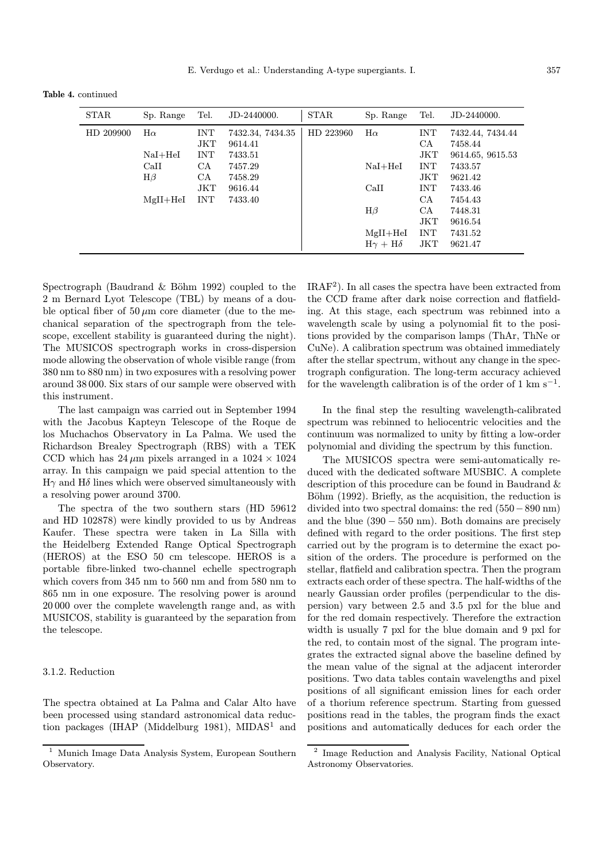Table 4. continued

| <b>STAR</b> | Sp. Range                                                  | Tel.                                                      | JD-2440000.                                                                        | <b>STAR</b> | Sp. Range                                                                         | Tel.                                                                                               | JD-2440000.                                                                                                                             |
|-------------|------------------------------------------------------------|-----------------------------------------------------------|------------------------------------------------------------------------------------|-------------|-----------------------------------------------------------------------------------|----------------------------------------------------------------------------------------------------|-----------------------------------------------------------------------------------------------------------------------------------------|
| HD 209900   | $H\alpha$<br>$NaI + HeI$<br>CaII<br>$H\beta$<br>$MgII+HeI$ | INT<br>JKT<br><b>INT</b><br>CA<br>CA<br>JKT<br><b>INT</b> | 7432.34, 7434.35<br>9614.41<br>7433.51<br>7457.29<br>7458.29<br>9616.44<br>7433.40 | HD 223960   | $H\alpha$<br>$NaI + HeI$<br>CaII<br>$H\beta$<br>$MgII+HeI$<br>$H\gamma + H\delta$ | <b>INT</b><br>CA<br>JKT<br><b>INT</b><br>JKT<br><b>INT</b><br>CA<br>CA<br>JKT<br><b>INT</b><br>JKT | 7432.44, 7434.44<br>7458.44<br>9614.65, 9615.53<br>7433.57<br>9621.42<br>7433.46<br>7454.43<br>7448.31<br>9616.54<br>7431.52<br>9621.47 |

Spectrograph (Baudrand  $\&$  Böhm 1992) coupled to the 2 m Bernard Lyot Telescope (TBL) by means of a double optical fiber of  $50 \mu m$  core diameter (due to the mechanical separation of the spectrograph from the telescope, excellent stability is guaranteed during the night). The MUSICOS spectrograph works in cross-dispersion mode allowing the observation of whole visible range (from 380 nm to 880 nm) in two exposures with a resolving power around 38 000. Six stars of our sample were observed with this instrument.

The last campaign was carried out in September 1994 with the Jacobus Kapteyn Telescope of the Roque de los Muchachos Observatory in La Palma. We used the Richardson Brealey Spectrograph (RBS) with a TEK CCD which has  $24 \mu m$  pixels arranged in a  $1024 \times 1024$ array. In this campaign we paid special attention to the  $H\gamma$  and  $H\delta$  lines which were observed simultaneously with a resolving power around 3700.

The spectra of the two southern stars (HD 59612 and HD 102878) were kindly provided to us by Andreas Kaufer. These spectra were taken in La Silla with the Heidelberg Extended Range Optical Spectrograph (HEROS) at the ESO 50 cm telescope. HEROS is a portable fibre-linked two-channel echelle spectrograph which covers from 345 nm to 560 nm and from 580 nm to 865 nm in one exposure. The resolving power is around 20 000 over the complete wavelength range and, as with MUSICOS, stability is guaranteed by the separation from the telescope.

## 3.1.2. Reduction

The spectra obtained at La Palma and Calar Alto have been processed using standard astronomical data reduction packages (IHAP (Middelburg 1981), MIDAS<sup>1</sup> and  $IRAF<sup>2</sup>$ . In all cases the spectra have been extracted from the CCD frame after dark noise correction and flatfielding. At this stage, each spectrum was rebinned into a wavelength scale by using a polynomial fit to the positions provided by the comparison lamps (ThAr, ThNe or CuNe). A calibration spectrum was obtained immediately after the stellar spectrum, without any change in the spectrograph configuration. The long-term accuracy achieved for the wavelength calibration is of the order of 1 km s<sup> $-1$ </sup>.

In the final step the resulting wavelength-calibrated spectrum was rebinned to heliocentric velocities and the continuum was normalized to unity by fitting a low-order polynomial and dividing the spectrum by this function.

The MUSICOS spectra were semi-automatically reduced with the dedicated software MUSBIC. A complete description of this procedure can be found in Baudrand & Böhm (1992). Briefly, as the acquisition, the reduction is divided into two spectral domains: the red (550−890 nm) and the blue  $(390 - 550 \text{ nm})$ . Both domains are precisely defined with regard to the order positions. The first step carried out by the program is to determine the exact position of the orders. The procedure is performed on the stellar, flatfield and calibration spectra. Then the program extracts each order of these spectra. The half-widths of the nearly Gaussian order profiles (perpendicular to the dispersion) vary between 2.5 and 3.5 pxl for the blue and for the red domain respectively. Therefore the extraction width is usually 7 pxl for the blue domain and 9 pxl for the red, to contain most of the signal. The program integrates the extracted signal above the baseline defined by the mean value of the signal at the adjacent interorder positions. Two data tables contain wavelengths and pixel positions of all significant emission lines for each order of a thorium reference spectrum. Starting from guessed positions read in the tables, the program finds the exact positions and automatically deduces for each order the

<sup>1</sup> Munich Image Data Analysis System, European Southern Observatory.

<sup>2</sup> Image Reduction and Analysis Facility, National Optical Astronomy Observatories.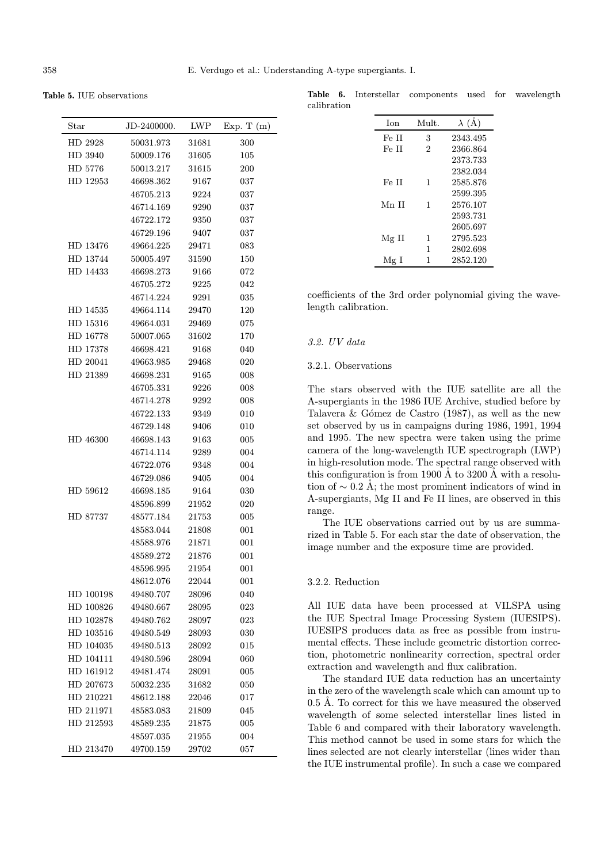Table 5. IUE observations

| Star      | JD-2400000. | LWP       | Exp. T $(m)$ |
|-----------|-------------|-----------|--------------|
| HD 2928   | 50031.973   | 31681     | 300          |
| HD 3940   | 50009.176   | 31605     | 105          |
| HD 5776   | 50013.217   | 31615     | 200          |
| HD 12953  | 46698.362   | 9167      | 037          |
|           | 46705.213   | 9224      | 037          |
|           | 46714.169   | 9290      | 037          |
|           | 46722.172   | 9350      | 037          |
|           | 46729.196   | 9407      | 037          |
| HD 13476  | 49664.225   | 29471     | 083          |
| HD 13744  | 50005.497   | 31590     | 150          |
| HD 14433  | 46698.273   | 9166      | 072          |
|           | 46705.272   | 9225      | 042          |
|           | 46714.224   | 9291      | 035          |
| HD 14535  | 49664.114   | 29470     | 120          |
| HD 15316  | 49664.031   | 29469     | 075          |
| HD 16778  | 50007.065   | 31602     | 170          |
| HD 17378  | 46698.421   | 9168      | 040          |
| HD 20041  | 49663.985   | 29468     | 020          |
| HD 21389  | 46698.231   | 9165      | 008          |
|           | 46705.331   | 9226      | 008          |
|           | 46714.278   | 9292      | 008          |
|           | 46722.133   | 9349      | 010          |
|           | 46729.148   | 9406      | 010          |
| HD 46300  | 46698.143   | 9163      | 005          |
|           | 46714.114   | 9289      | 004          |
|           | 46722.076   | 9348      | 004          |
|           | 46729.086   | 9405      | 004          |
| HD 59612  | 46698.185   | 9164      | 030          |
|           | 48596.899   | 21952     | 020          |
| HD 87737  | 48577.184   | $21753\,$ | 005          |
|           | 48583.044   | 21808     | 001          |
|           | 48588.976   | 21871     | 001          |
|           | 48589.272   | $21876\,$ | 001          |
|           | 48596.995   | 21954     | 001          |
|           | 48612.076   | 22044     | 001          |
| HD 100198 | 49480.707   | 28096     | 040          |
| HD 100826 | 49480.667   | 28095     | 023          |
| HD 102878 | 49480.762   | 28097     | 023          |
| HD 103516 | 49480.549   | 28093     | 030          |
| HD 104035 | 49480.513   | 28092     | 015          |
| HD 104111 | 49480.596   | 28094     | 060          |
| HD 161912 | 49481.474   | 28091     | 005          |
| HD 207673 | 50032.235   | 31682     | 050          |
| HD 210221 | 48612.188   | 22046     | 017          |
| HD 211971 | 48583.083   | 21809     | 045          |
| HD 212593 | 48589.235   | 21875     | 005          |
|           | 48597.035   | 21955     | 004          |
| HD 213470 | 49700.159   | 29702     | 057          |

Table 6. Interstellar components used for wavelength calibration

| <b>I</b> on | Mult.          | $\lambda$ (A) |
|-------------|----------------|---------------|
| Fe II       | 3              | 2343.495      |
| Fe II       | $\mathfrak{D}$ | 2366.864      |
|             |                | 2373.733      |
|             |                | 2382.034      |
| Fe II       | 1              | 2585.876      |
|             |                | 2599.395      |
| Mn II       | 1              | 2576.107      |
|             |                | 2593.731      |
|             |                | 2605.697      |
| Mg II       | 1              | 2795.523      |
|             | 1              | 2802.698      |
| Mg I        | 1              | 2852.120      |

coefficients of the 3rd order polynomial giving the wavelength calibration.

#### 3.2. UV data

## 3.2.1. Observations

The stars observed with the IUE satellite are all the A-supergiants in the 1986 IUE Archive, studied before by Talavera  $&$  Gómez de Castro (1987), as well as the new set observed by us in campaigns during 1986, 1991, 1994 and 1995. The new spectra were taken using the prime camera of the long-wavelength IUE spectrograph (LWP) in high-resolution mode. The spectral range observed with this configuration is from 1900  $\AA$  to 3200  $\AA$  with a resolution of  $\sim$  0.2 Å; the most prominent indicators of wind in A-supergiants, Mg II and Fe II lines, are observed in this range.

The IUE observations carried out by us are summarized in Table 5. For each star the date of observation, the image number and the exposure time are provided.

## 3.2.2. Reduction

All IUE data have been processed at VILSPA using the IUE Spectral Image Processing System (IUESIPS). IUESIPS produces data as free as possible from instrumental effects. These include geometric distortion correction, photometric nonlinearity correction, spectral order extraction and wavelength and flux calibration.

The standard IUE data reduction has an uncertainty in the zero of the wavelength scale which can amount up to 0.5 Å. To correct for this we have measured the observed wavelength of some selected interstellar lines listed in Table 6 and compared with their laboratory wavelength. This method cannot be used in some stars for which the lines selected are not clearly interstellar (lines wider than the IUE instrumental profile). In such a case we compared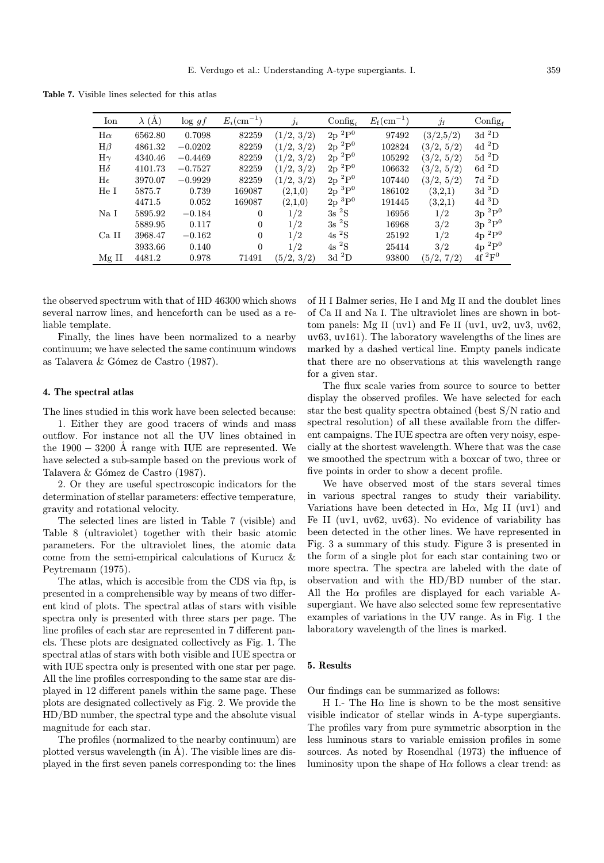Table 7. Visible lines selected for this atlas

| Ion       | $\lambda(A)$ | $\log gf$ | $E_i(\text{cm}^{-1})$ | $\overline{\jmath}_i$ | $\text{Config}_i$ | $E_{\rm f}(\rm cm^{-1})$ | $j_{\rm f}$ | $\rm{Config}_f$     |
|-----------|--------------|-----------|-----------------------|-----------------------|-------------------|--------------------------|-------------|---------------------|
| $H\alpha$ | 6562.80      | 0.7098    | 82259                 | (1/2, 3/2)            | $2p~^2P^0$        | 97492                    | (3/2,5/2)   | $3d\ ^2D$           |
| $H\beta$  | 4861.32      | $-0.0202$ | 82259                 | (1/2, 3/2)            | $2p~^2P^0$        | 102824                   | (3/2, 5/2)  | $4d^2D$             |
| $H\gamma$ | 4340.46      | $-0.4469$ | 82259                 | (1/2, 3/2)            | $2p~^2P^0$        | 105292                   | (3/2, 5/2)  | $5d$ <sup>2</sup> D |
| $H\delta$ | 4101.73      | $-0.7527$ | 82259                 | (1/2, 3/2)            | $2p~^2P^0$        | 106632                   | (3/2, 5/2)  | 6d <sup>2</sup> D   |
| He        | 3970.07      | $-0.9929$ | 82259                 | (1/2, 3/2)            | $2p~^2P^0$        | 107440                   | (3/2, 5/2)  | $7d~^2D$            |
| He I      | 5875.7       | 0.739     | 169087                | (2,1,0)               | $2p~^3P^0$        | 186102                   | (3,2,1)     | $3d~^3D$            |
|           | 4471.5       | 0.052     | 169087                | (2,1,0)               | $2p~^3P^0$        | 191445                   | (3,2,1)     | $4d~^3D$            |
| Na I      | 5895.92      | $-0.184$  | $\mathbf{0}$          | 1/2                   | $3s~^2S$          | 16956                    | 1/2         | $3p~^2P^0$          |
|           | 5889.95      | 0.117     | $\mathbf{0}$          | 1/2                   | $3s~^2S$          | 16968                    | 3/2         | $3p~^2P^0$          |
| Ca II     | 3968.47      | $-0.162$  | $\mathbf{0}$          | 1/2                   | $4s~^2S$          | 25192                    | 1/2         | $4p~^2P^0$          |
|           | 3933.66      | 0.140     | $\Omega$              | 1/2                   | $4s~^2S$          | 25414                    | 3/2         | $4p~^2P^0$          |
| $Mg$ II   | 4481.2       | 0.978     | 71491                 | (5/2, 3/2)            | $3d~^2D$          | 93800                    | (5/2, 7/2)  | $4f~^2F^0$          |

the observed spectrum with that of HD 46300 which shows several narrow lines, and henceforth can be used as a reliable template.

Finally, the lines have been normalized to a nearby continuum; we have selected the same continuum windows as Talavera & G´omez de Castro (1987).

#### 4. The spectral atlas

The lines studied in this work have been selected because:

1. Either they are good tracers of winds and mass outflow. For instance not all the UV lines obtained in the  $1900 - 3200$  Å range with IUE are represented. We have selected a sub-sample based on the previous work of Talavera & Gómez de Castro (1987).

2. Or they are useful spectroscopic indicators for the determination of stellar parameters: effective temperature, gravity and rotational velocity.

The selected lines are listed in Table 7 (visible) and Table 8 (ultraviolet) together with their basic atomic parameters. For the ultraviolet lines, the atomic data come from the semi-empirical calculations of Kurucz & Peytremann (1975).

The atlas, which is accesible from the CDS via ftp, is presented in a comprehensible way by means of two different kind of plots. The spectral atlas of stars with visible spectra only is presented with three stars per page. The line profiles of each star are represented in 7 different panels. These plots are designated collectively as Fig. 1. The spectral atlas of stars with both visible and IUE spectra or with IUE spectra only is presented with one star per page. All the line profiles corresponding to the same star are displayed in 12 different panels within the same page. These plots are designated collectively as Fig. 2. We provide the HD/BD number, the spectral type and the absolute visual magnitude for each star.

The profiles (normalized to the nearby continuum) are plotted versus wavelength (in  $\AA$ ). The visible lines are displayed in the first seven panels corresponding to: the lines

of H I Balmer series, He I and Mg II and the doublet lines of Ca II and Na I. The ultraviolet lines are shown in bottom panels: Mg II (uv1) and Fe II (uv1, uv2, uv3, uv62, uv63, uv161). The laboratory wavelengths of the lines are marked by a dashed vertical line. Empty panels indicate that there are no observations at this wavelength range for a given star.

The flux scale varies from source to source to better display the observed profiles. We have selected for each star the best quality spectra obtained (best S/N ratio and spectral resolution) of all these available from the different campaigns. The IUE spectra are often very noisy, especially at the shortest wavelength. Where that was the case we smoothed the spectrum with a boxcar of two, three or five points in order to show a decent profile.

We have observed most of the stars several times in various spectral ranges to study their variability. Variations have been detected in H $\alpha$ , Mg II (uv1) and Fe II (uv1, uv62, uv63). No evidence of variability has been detected in the other lines. We have represented in Fig. 3 a summary of this study. Figure 3 is presented in the form of a single plot for each star containing two or more spectra. The spectra are labeled with the date of observation and with the HD/BD number of the star. All the  $H\alpha$  profiles are displayed for each variable Asupergiant. We have also selected some few representative examples of variations in the UV range. As in Fig. 1 the laboratory wavelength of the lines is marked.

## 5. Results

Our findings can be summarized as follows:

H I.- The H $\alpha$  line is shown to be the most sensitive visible indicator of stellar winds in A-type supergiants. The profiles vary from pure symmetric absorption in the less luminous stars to variable emission profiles in some sources. As noted by Rosendhal (1973) the influence of luminosity upon the shape of  $H\alpha$  follows a clear trend: as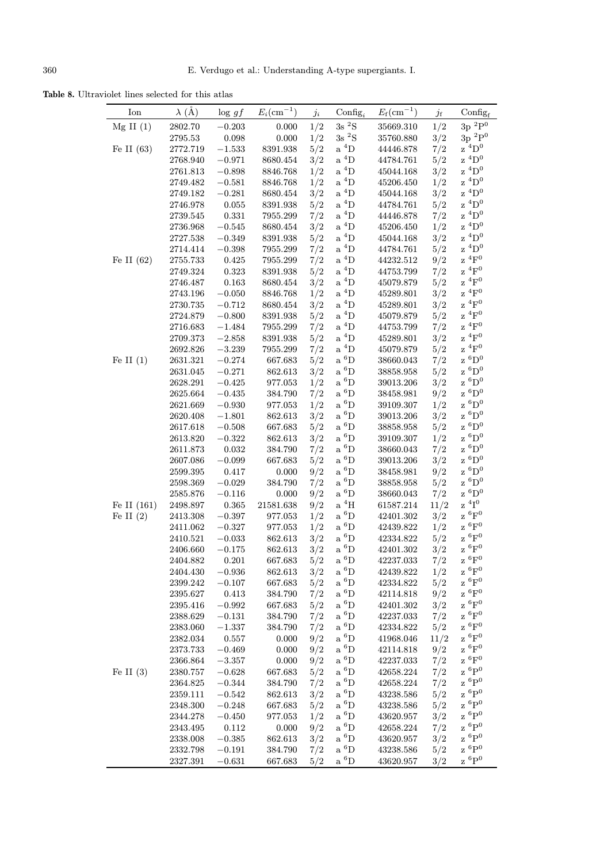Table 8. Ultraviolet lines selected for this atlas

| Ion           | $\lambda$ (Å)        | $\log gf$               | $E_i(\text{cm}^{-1})$ | $j_i$      | $\text{Config}_i$<br>$3\mathrm{s}~^2\mathrm{S}$ | $E_{\rm f}$ (cm <sup>-1</sup> ) | $j_{\rm f}$ | $Config_f$<br>$3p~^2P^0$        |
|---------------|----------------------|-------------------------|-----------------------|------------|-------------------------------------------------|---------------------------------|-------------|---------------------------------|
| $Mg$ II $(1)$ | 2802.70              | $-0.203$                | 0.000                 | 1/2        |                                                 | 35669.310                       | 1/2         | $3\mathrm{p}\ ^2\mathrm{P}^0$   |
|               | $2795.53\,$          | $\,0.098\,$             | 0.000                 | 1/2        | $3s~^2S$                                        | 35760.880                       | 3/2         | $\rm z~^4D^0$                   |
| Fe II $(63)$  | 2772.719             | $-1.533$                | 8391.938              | 5/2        | $a^4D$                                          | 44446.878                       | 7/2         | $\rm z~^4D^0$                   |
|               | 2768.940             | $-0.971$                | 8680.454              | 3/2        | $\mathrm{a}\ ^4\mathrm{D}$                      | 44784.761                       | 5/2         | $\rm z~^4D^0$                   |
|               | 2761.813             | $-0.898$                | 8846.768              | 1/2        | $a^4D$                                          | 45044.168                       | 3/2         |                                 |
|               | 2749.482             | $-0.581$                | 8846.768              | 1/2        | $a^4D$                                          | 45206.450                       | 1/2         | $\rm z~^4D^0$                   |
|               | 2749.182             | $-0.281$                | 8680.454              | 3/2        | $a^4D$                                          | 45044.168                       | 3/2         | $\rm z~^4D^0$                   |
|               | 2746.978             | $\,0.055\,$             | 8391.938              | 5/2        | $\mathrm{a}~^4\mathrm{D}$                       | 44784.761                       | 5/2         | $\rm z~^4D^0$                   |
|               | 2739.545             | 0.331                   | 7955.299              | 7/2        | a $^4\mathrm{D}$                                | 44446.878                       | 7/2         | $\rm z~^4D^0$                   |
|               | 2736.968             | $-0.545$                | 8680.454              | 3/2        | $\mathrm{a} \ ^4\mathrm{D}$                     | 45206.450                       | 1/2         | $\rm z~^4D^0$                   |
|               | 2727.538             | $-0.349$                | 8391.938              | 5/2        | $\mathrm{a} \ ^4\mathrm{D}$                     | 45044.168                       | 3/2         | $\rm z~^4D^0$                   |
|               | 2714.414             | $-0.398$                | 7955.299              | 7/2        | $a^4D$                                          | 44784.761                       | 5/2         | $z$ <sup>4</sup> D <sup>0</sup> |
| Fe II $(62)$  | 2755.733             | 0.425                   | 7955.299              | 7/2        | $a^4D$                                          | 44232.512                       | 9/2         | $\rm z~^4F^0$                   |
|               | 2749.324             | 0.323                   | 8391.938              | 5/2        | $\mathrm{a} \ ^4\mathrm{D}$                     | 44753.799                       | 7/2         | $\rm z~^4F^0$<br>$\rm z~^4F^0$  |
|               | 2746.487             | 0.163                   | 8680.454              | 3/2        | $a^4D$                                          | 45079.879                       | 5/2         | ${}^4F^0$                       |
|               | 2743.196             | $-0.050$                | 8846.768              | 1/2        | $\mathrm{a} \ ^4\mathrm{D}$                     | 45289.801                       | 3/2         | z<br>$\rm z~^4F^0$              |
|               | 2730.735             | $-0.712$                | 8680.454              | 3/2        | $\mathrm{a} \ ^4\mathrm{D}$                     | 45289.801                       | 3/2         | $\rm z~^4F^0$                   |
|               | 2724.879             | $-0.800$                | 8391.938              | 5/2        | $a^4D$                                          | 45079.879                       | 5/2         |                                 |
|               | 2716.683             | $-1.484$                | 7955.299              | 7/2        | $\mathrm{a}~^4\mathrm{D}$                       | 44753.799                       | 7/2         | $\rm z~^4F^0$<br>$\rm z~^4F^0$  |
|               | 2709.373             | $-2.858$                | 8391.938              | 5/2        | $a^4D$                                          | 45289.801                       | 3/2         | $\rm z~^4F^0$                   |
|               | 2692.826             | $-3.239$                | 7955.299              | 7/2        | a $^4\mathrm{D}$                                | 45079.879                       | 5/2         |                                 |
| Fe II $(1)$   | 2631.321             | $-0.274$                | 667.683               | 5/2        | $a\ ^6D$                                        | 38660.043                       | 7/2         | $z~^6D^0$                       |
|               | 2631.045             | $-0.271$                | 862.613               | 3/2        | $a\ ^6D$                                        | 38858.958                       | 5/2         | $z~^6D^0$<br>$\rm z~^6D^0$      |
|               | 2628.291             | $-0.425$                | 977.053               | 1/2        | $a\ ^6D$                                        | 39013.206                       | 3/2         | $z~^6D^0$                       |
|               | 2625.664             | $-0.435$                | 384.790               | 7/2        | $a\ ^6D$                                        | 38458.981                       | 9/2         | $z~^6D^0$                       |
|               | 2621.669             | $-0.930$                | 977.053               | 1/2        | a $^6\mathrm{D}$                                | 39109.307                       | 1/2         | $\rm z~^6D^0$                   |
|               | 2620.408             | $-1.801$                | 862.613               | 3/2        | $a\ ^6D$<br>$a\ ^6D$                            | 39013.206                       | 3/2         | $z~^6D^0$                       |
|               | 2617.618             | $-0.508$                | 667.683               | 5/2        | a $^6\mathrm{D}$                                | 38858.958                       | 5/2         | $z~^6D^0$                       |
|               | 2613.820             | $-0.322$                | 862.613               | 3/2<br>7/2 | $a\ ^6D$                                        | 39109.307                       | 1/2         | $\rm z~^6D^0$                   |
|               | 2611.873             | $\,0.032\,$<br>$-0.099$ | 384.790<br>667.683    | 5/2        | a $^6\mathrm{D}$                                | 38660.043<br>39013.206          | 7/2<br>3/2  | $\rm z~^6D^0$                   |
|               | 2607.086<br>2599.395 | 0.417                   | 0.000                 | 9/2        | $a\ ^6D$                                        | 38458.981                       | 9/2         | $z~^6D^0$                       |
|               | 2598.369             | $-0.029$                | 384.790               | 7/2        | $a\ ^6D$                                        | 38858.958                       | 5/2         | $z~^6D^0$                       |
|               | 2585.876             | $-0.116$                | 0.000                 | 9/2        | $a\ ^6D$                                        | 38660.043                       | 7/2         | $\rm{z}$ $\rm^{6}D^0$           |
| Fe II (161)   | 2498.897             | $\,0.365\,$             | 21581.638             | 9/2        | $\mathrm{a}~^4\mathrm{H}$                       | 61587.214                       | 11/2        | $\rm z$ $\rm ^4I^0$             |
| Fe II $(2)$   | 2413.308             | $-0.397$                | 977.053               | 1/2        | $a\ ^6D$                                        | 42401.302                       | 3/2         | $\rm z~^6F^0$                   |
|               | 2411.062             | $-0.327$                | 977.053               | 1/2        | $a\ ^6D$                                        | 42439.822                       | 1/2         | $\rm z~^6F^0$                   |
|               | 2410.521             | $-0.033$                | 862.613               | 3/2        | a $^6\mathrm{D}$                                | 42334.822                       | 5/2         | ${}^6F^0$<br>z                  |
|               | 2406.660             | $-0.175$                | 862.613               | 3/2        | $a\ ^6D$                                        | 42401.302                       | 3/2         | $\rm z~^6F^0$                   |
|               | 2404.882             | 0.201                   | 667.683               | 5/2        | $a\ ^6D$                                        | 42237.033                       | 7/2         | $\rm z~^6F^0$                   |
|               | 2404.430             | $-0.936$                | 862.613               | 3/2        | a $^6\mathrm{D}$                                | 42439.822                       | 1/2         | $\rm z~^6F^0$                   |
|               | 2399.242             | $-0.107$                | 667.683               | 5/2        | $a\ ^6D$                                        | 42334.822                       | 5/2         | $\rm z~^6F^0$                   |
|               | 2395.627             | 0.413                   | 384.790               | 7/2        | a $^6\mathrm{D}$                                | 42114.818                       | 9/2         | $\rm z~^6F^0$                   |
|               | 2395.416             | $-0.992$                | 667.683               | 5/2        | a $^6\mathrm{D}$                                | 42401.302                       | 3/2         | $\rm z~^6F^0$                   |
|               | 2388.629             | $-0.131$                | 384.790               | 7/2        | $a\ ^6D$                                        | 42237.033                       | 7/2         | $z~^6F^0$                       |
|               | 2383.060             | $-1.337$                | 384.790               | 7/2        | a $^6\mathrm{D}$                                | 42334.822                       | 5/2         | $z~^6F^0$                       |
|               | 2382.034             | 0.557                   | 0.000                 | 9/2        | $a\ ^6D$                                        | 41968.046                       | 11/2        | $\rm z~^6F^0$                   |
|               | 2373.733             | $-0.469$                | 0.000                 | 9/2        | $a\ ^6D$                                        | 42114.818                       | 9/2         | $\rm z~^6F^0$                   |
|               | 2366.864             | $-3.357$                | 0.000                 | 9/2        | $a\ ^6D$                                        | 42237.033                       | 7/2         | $z~^6F^0$                       |
| Fe II $(3)$   | 2380.757             | $-0.628$                | 667.683               | 5/2        | a $^6\mathrm{D}$                                | 42658.224                       | 7/2         | $\rm z~^6P^0$                   |
|               | 2364.825             | $-0.344$                | 384.790               | 7/2        | $a\ ^6D$                                        | 42658.224                       | 7/2         | ${}^6P^0$<br>z                  |
|               | 2359.111             | $-0.542$                | 862.613               | 3/2        | a $^6\mathrm{D}$                                | 43238.586                       | 5/2         | $z~^6P^0$                       |
|               | 2348.300             | $-0.248$                | 667.683               | 5/2        | $\mathrm{a}~^6\mathrm{D}$                       | 43238.586                       | 5/2         | $z~^6P^0$                       |
|               | 2344.278             | $-0.450$                | 977.053               | 1/2        | a $^6\mathrm{D}$                                | 43620.957                       | 3/2         | $z~^6P^0$                       |
|               | 2343.495             | 0.112                   | 0.000                 | 9/2        | a $^6\mathrm{D}$                                | 42658.224                       | 7/2         | $\rm z~^6P^0$                   |
|               | 2338.008             | $-0.385$                | 862.613               | 3/2        | a $^6\mathrm{D}$                                | 43620.957                       | 3/2         | ${}^{6}P^{0}$<br>z              |
|               | 2332.798             | $-0.191$                | 384.790               | 7/2        | a $^6\mathrm{D}$                                | 43238.586                       | 5/2         | $\rm z~^6P^0$                   |
|               | 2327.391             | $-0.631$                | 667.683               | 5/2        | a $^6\mathrm{D}$                                | 43620.957                       | 3/2         | $z~^6P^0$                       |
|               |                      |                         |                       |            |                                                 |                                 |             |                                 |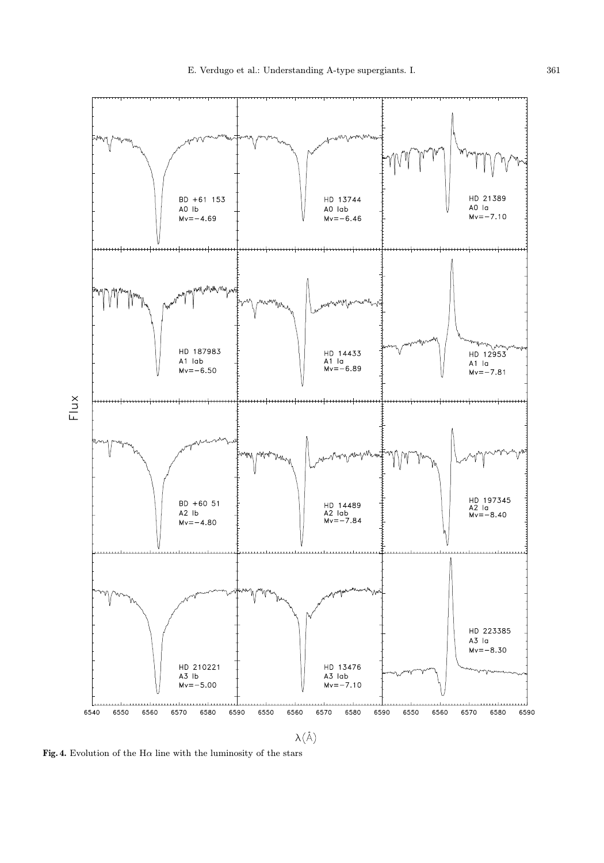

Fig. 4. Evolution of the H $\alpha$  line with the luminosity of the stars